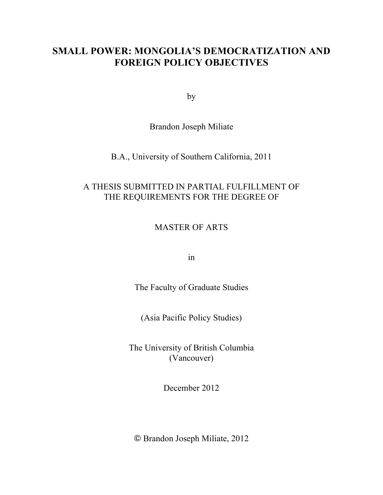# **SMALL POWER: MONGOLIA'S DEMOCRATIZATION AND FOREIGN POLICY OBJECTIVES**

by

### Brandon Joseph Miliate

### B.A., University of Southern California, 2011

### A THESIS SUBMITTED IN PARTIAL FULFILLMENT OF THE REQUIREMENTS FOR THE DEGREE OF

### MASTER OF ARTS

in

The Faculty of Graduate Studies

(Asia Pacific Policy Studies)

The University of British Columbia (Vancouver)

December 2012

© Brandon Joseph Miliate, 2012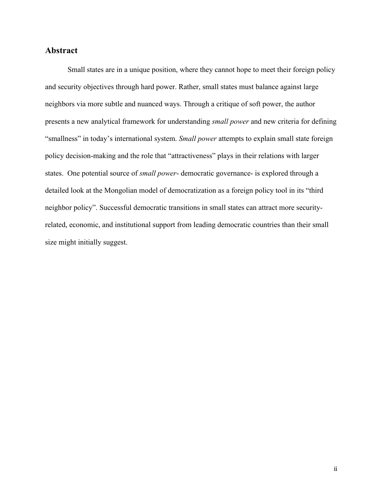### **Abstract**

Small states are in a unique position, where they cannot hope to meet their foreign policy and security objectives through hard power. Rather, small states must balance against large neighbors via more subtle and nuanced ways. Through a critique of soft power, the author presents a new analytical framework for understanding *small power* and new criteria for defining "smallness" in today's international system. *Small power* attempts to explain small state foreign policy decision-making and the role that "attractiveness" plays in their relations with larger states. One potential source of *small power*- democratic governance- is explored through a detailed look at the Mongolian model of democratization as a foreign policy tool in its "third neighbor policy". Successful democratic transitions in small states can attract more securityrelated, economic, and institutional support from leading democratic countries than their small size might initially suggest.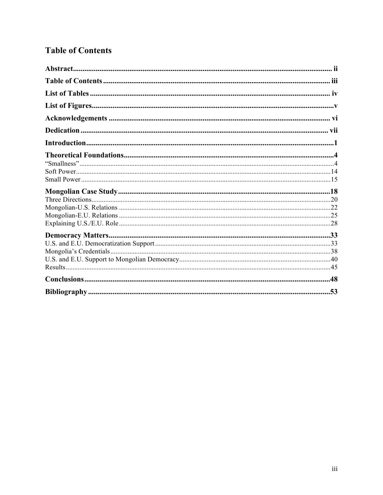# **Table of Contents**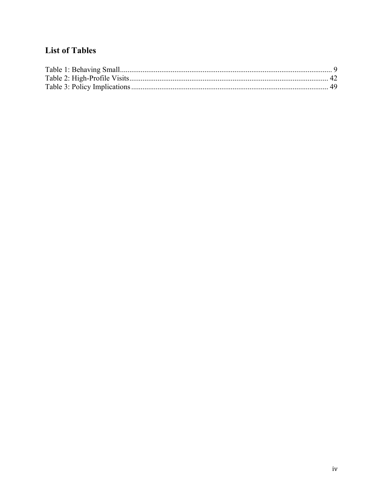# **List of Tables**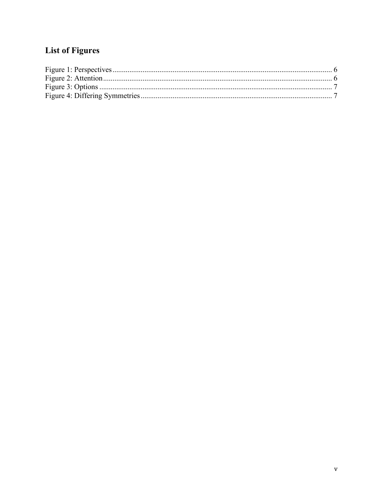# **List of Figures**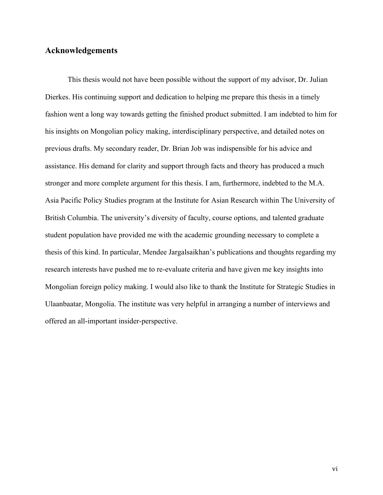### **Acknowledgements**

This thesis would not have been possible without the support of my advisor, Dr. Julian Dierkes. His continuing support and dedication to helping me prepare this thesis in a timely fashion went a long way towards getting the finished product submitted. I am indebted to him for his insights on Mongolian policy making, interdisciplinary perspective, and detailed notes on previous drafts. My secondary reader, Dr. Brian Job was indispensible for his advice and assistance. His demand for clarity and support through facts and theory has produced a much stronger and more complete argument for this thesis. I am, furthermore, indebted to the M.A. Asia Pacific Policy Studies program at the Institute for Asian Research within The University of British Columbia. The university's diversity of faculty, course options, and talented graduate student population have provided me with the academic grounding necessary to complete a thesis of this kind. In particular, Mendee Jargalsaikhan's publications and thoughts regarding my research interests have pushed me to re-evaluate criteria and have given me key insights into Mongolian foreign policy making. I would also like to thank the Institute for Strategic Studies in Ulaanbaatar, Mongolia. The institute was very helpful in arranging a number of interviews and offered an all-important insider-perspective.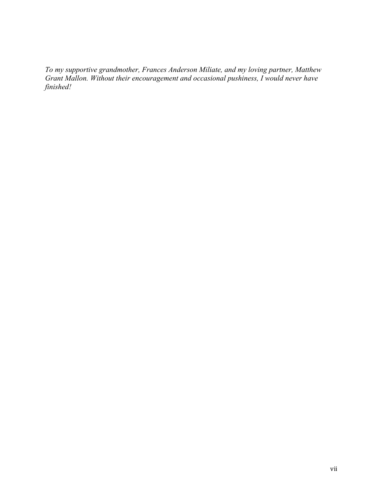*To my supportive grandmother, Frances Anderson Miliate, and my loving partner, Matthew Grant Mallon. Without their encouragement and occasional pushiness, I would never have finished!*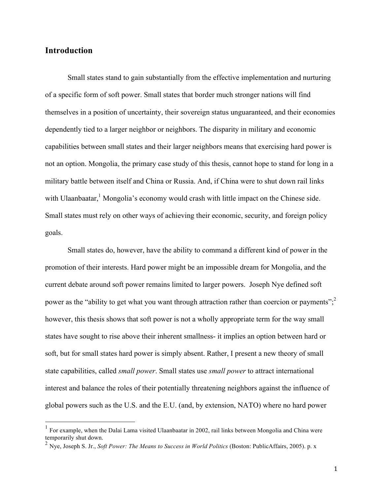### **Introduction**

Small states stand to gain substantially from the effective implementation and nurturing of a specific form of soft power. Small states that border much stronger nations will find themselves in a position of uncertainty, their sovereign status unguaranteed, and their economies dependently tied to a larger neighbor or neighbors. The disparity in military and economic capabilities between small states and their larger neighbors means that exercising hard power is not an option. Mongolia, the primary case study of this thesis, cannot hope to stand for long in a military battle between itself and China or Russia. And, if China were to shut down rail links with Ulaanbaatar,<sup>1</sup> Mongolia's economy would crash with little impact on the Chinese side. Small states must rely on other ways of achieving their economic, security, and foreign policy goals.

Small states do, however, have the ability to command a different kind of power in the promotion of their interests. Hard power might be an impossible dream for Mongolia, and the current debate around soft power remains limited to larger powers. Joseph Nye defined soft power as the "ability to get what you want through attraction rather than coercion or payments"; however, this thesis shows that soft power is not a wholly appropriate term for the way small states have sought to rise above their inherent smallness- it implies an option between hard or soft, but for small states hard power is simply absent. Rather, I present a new theory of small state capabilities, called *small power*. Small states use *small power* to attract international interest and balance the roles of their potentially threatening neighbors against the influence of global powers such as the U.S. and the E.U. (and, by extension, NATO) where no hard power

 $1$  For example, when the Dalai Lama visited Ulaanbaatar in 2002, rail links between Mongolia and China were temporarily shut down.

<sup>2</sup> Nye, Joseph S. Jr., *Soft Power: The Means to Success in World Politics* (Boston: PublicAffairs, 2005). p. x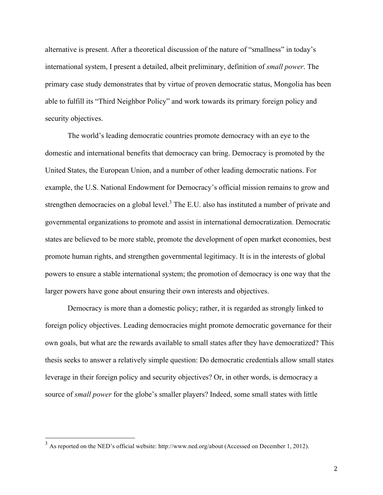alternative is present. After a theoretical discussion of the nature of "smallness" in today's international system, I present a detailed, albeit preliminary, definition of *small power*. The primary case study demonstrates that by virtue of proven democratic status, Mongolia has been able to fulfill its "Third Neighbor Policy" and work towards its primary foreign policy and security objectives.

The world's leading democratic countries promote democracy with an eye to the domestic and international benefits that democracy can bring. Democracy is promoted by the United States, the European Union, and a number of other leading democratic nations. For example, the U.S. National Endowment for Democracy's official mission remains to grow and strengthen democracies on a global level. $3$  The E.U. also has instituted a number of private and governmental organizations to promote and assist in international democratization. Democratic states are believed to be more stable, promote the development of open market economies, best promote human rights, and strengthen governmental legitimacy. It is in the interests of global powers to ensure a stable international system; the promotion of democracy is one way that the larger powers have gone about ensuring their own interests and objectives.

Democracy is more than a domestic policy; rather, it is regarded as strongly linked to foreign policy objectives. Leading democracies might promote democratic governance for their own goals, but what are the rewards available to small states after they have democratized? This thesis seeks to answer a relatively simple question: Do democratic credentials allow small states leverage in their foreign policy and security objectives? Or, in other words, is democracy a source of *small power* for the globe's smaller players? Indeed, some small states with little

 <sup>3</sup> As reported on the NED's official website: http://www.ned.org/about (Accessed on December 1, 2012).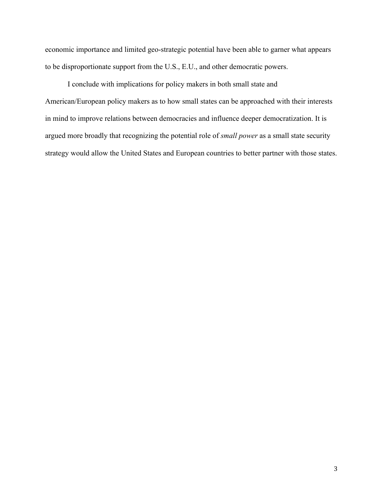economic importance and limited geo-strategic potential have been able to garner what appears to be disproportionate support from the U.S., E.U., and other democratic powers.

I conclude with implications for policy makers in both small state and American/European policy makers as to how small states can be approached with their interests in mind to improve relations between democracies and influence deeper democratization. It is argued more broadly that recognizing the potential role of *small power* as a small state security strategy would allow the United States and European countries to better partner with those states.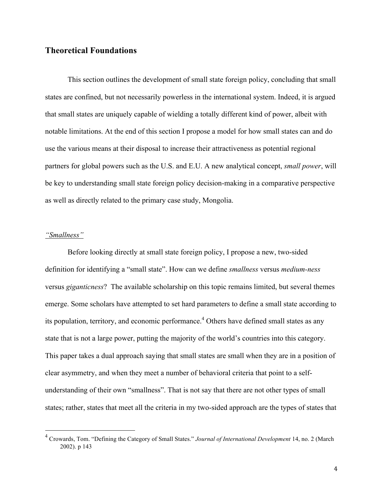### **Theoretical Foundations**

This section outlines the development of small state foreign policy, concluding that small states are confined, but not necessarily powerless in the international system. Indeed, it is argued that small states are uniquely capable of wielding a totally different kind of power, albeit with notable limitations. At the end of this section I propose a model for how small states can and do use the various means at their disposal to increase their attractiveness as potential regional partners for global powers such as the U.S. and E.U. A new analytical concept, *small power*, will be key to understanding small state foreign policy decision-making in a comparative perspective as well as directly related to the primary case study, Mongolia.

### *"Smallness"*

Before looking directly at small state foreign policy, I propose a new, two-sided definition for identifying a "small state". How can we define *smallness* versus *medium-ness* versus *giganticness*? The available scholarship on this topic remains limited, but several themes emerge. Some scholars have attempted to set hard parameters to define a small state according to its population, territory, and economic performance.<sup>4</sup> Others have defined small states as any state that is not a large power, putting the majority of the world's countries into this category. This paper takes a dual approach saying that small states are small when they are in a position of clear asymmetry, and when they meet a number of behavioral criteria that point to a selfunderstanding of their own "smallness". That is not say that there are not other types of small states; rather, states that meet all the criteria in my two-sided approach are the types of states that

 <sup>4</sup> Crowards, Tom. "Defining the Category of Small States." *Journal of International Development* 14, no. 2 (March 2002). p 143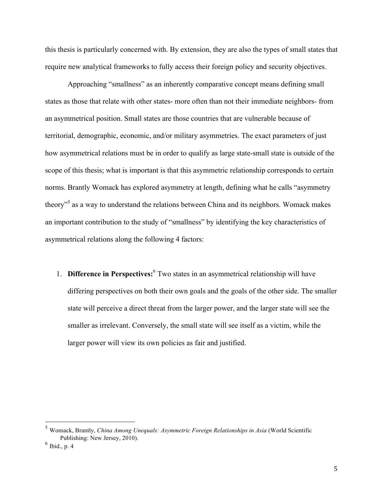this thesis is particularly concerned with. By extension, they are also the types of small states that require new analytical frameworks to fully access their foreign policy and security objectives.

Approaching "smallness" as an inherently comparative concept means defining small states as those that relate with other states- more often than not their immediate neighbors- from an asymmetrical position. Small states are those countries that are vulnerable because of territorial, demographic, economic, and/or military asymmetries. The exact parameters of just how asymmetrical relations must be in order to qualify as large state-small state is outside of the scope of this thesis; what is important is that this asymmetric relationship corresponds to certain norms. Brantly Womack has explored asymmetry at length, defining what he calls "asymmetry theory"<sup>5</sup> as a way to understand the relations between China and its neighbors. Womack makes an important contribution to the study of "smallness" by identifying the key characteristics of asymmetrical relations along the following 4 factors:

1. **Difference in Perspectives:**<sup>6</sup> Two states in an asymmetrical relationship will have differing perspectives on both their own goals and the goals of the other side. The smaller state will perceive a direct threat from the larger power, and the larger state will see the smaller as irrelevant. Conversely, the small state will see itself as a victim, while the larger power will view its own policies as fair and justified.

 <sup>5</sup> Womack, Brantly, *China Among Unequals: Asymmetric Foreign Relationships in Asia* (World Scientific Publishing: New Jersey, 2010).

 $^6$  Ibid., p. 4  $\,$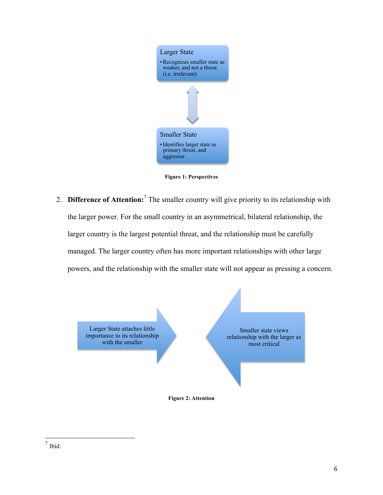

**Figure 1: Perspectives**

2. **Difference of Attention:** 7 The smaller country will give priority to its relationship with the larger power. For the small country in an asymmetrical, bilateral relationship, the larger country is the largest potential threat, and the relationship must be carefully managed. The larger country often has more important relationships with other large powers, and the relationship with the smaller state will not appear as pressing a concern.



 <sup>7</sup> Ibid.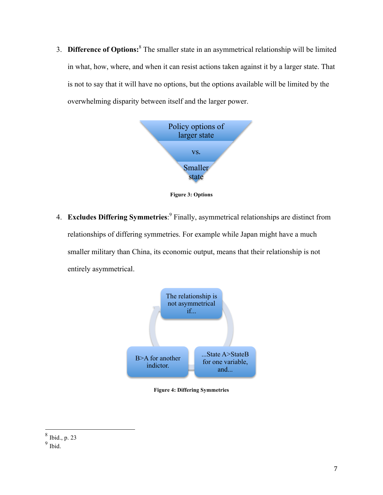3. **Difference of Options:**<sup>8</sup> The smaller state in an asymmetrical relationship will be limited in what, how, where, and when it can resist actions taken against it by a larger state. That is not to say that it will have no options, but the options available will be limited by the overwhelming disparity between itself and the larger power.



**Figure 3: Options**

4. **Excludes Differing Symmetries**: 9 Finally, asymmetrical relationships are distinct from relationships of differing symmetries. For example while Japan might have a much smaller military than China, its economic output, means that their relationship is not entirely asymmetrical.



**Figure 4: Differing Symmetries**

 <sup>8</sup> Ibid., p. 23

 $9 \overline{\text{Ibid.}}$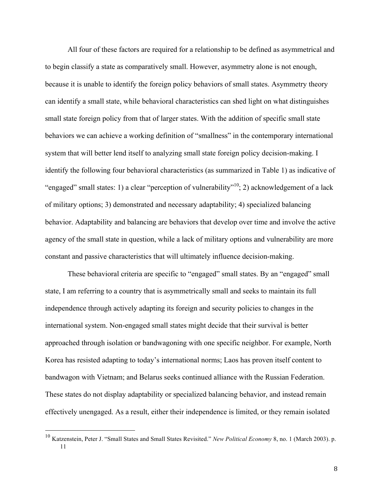All four of these factors are required for a relationship to be defined as asymmetrical and to begin classify a state as comparatively small. However, asymmetry alone is not enough, because it is unable to identify the foreign policy behaviors of small states. Asymmetry theory can identify a small state, while behavioral characteristics can shed light on what distinguishes small state foreign policy from that of larger states. With the addition of specific small state behaviors we can achieve a working definition of "smallness" in the contemporary international system that will better lend itself to analyzing small state foreign policy decision-making. I identify the following four behavioral characteristics (as summarized in Table 1) as indicative of "engaged" small states: 1) a clear "perception of vulnerability"<sup>10</sup>; 2) acknowledgement of a lack of military options; 3) demonstrated and necessary adaptability; 4) specialized balancing behavior. Adaptability and balancing are behaviors that develop over time and involve the active agency of the small state in question, while a lack of military options and vulnerability are more constant and passive characteristics that will ultimately influence decision-making.

These behavioral criteria are specific to "engaged" small states. By an "engaged" small state, I am referring to a country that is asymmetrically small and seeks to maintain its full independence through actively adapting its foreign and security policies to changes in the international system. Non-engaged small states might decide that their survival is better approached through isolation or bandwagoning with one specific neighbor. For example, North Korea has resisted adapting to today's international norms; Laos has proven itself content to bandwagon with Vietnam; and Belarus seeks continued alliance with the Russian Federation. These states do not display adaptability or specialized balancing behavior, and instead remain effectively unengaged. As a result, either their independence is limited, or they remain isolated

 <sup>10</sup> Katzenstein, Peter J. "Small States and Small States Revisited." *New Political Economy* 8, no. 1 (March 2003). p. 11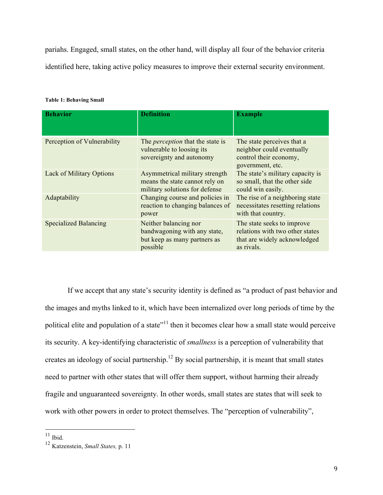pariahs. Engaged, small states, on the other hand, will display all four of the behavior criteria identified here, taking active policy measures to improve their external security environment.

#### **Table 1: Behaving Small**

| <b>Behavior</b>                 | <b>Definition</b>                                                                                  | <b>Example</b>                                                                                              |
|---------------------------------|----------------------------------------------------------------------------------------------------|-------------------------------------------------------------------------------------------------------------|
| Perception of Vulnerability     | The <i>perception</i> that the state is<br>vulnerable to loosing its<br>sovereignty and autonomy   | The state perceives that a<br>neighbor could eventually<br>control their economy,<br>government, etc.       |
| <b>Lack of Military Options</b> | Asymmetrical military strength<br>means the state cannot rely on<br>military solutions for defense | The state's military capacity is<br>so small, that the other side<br>could win easily.                      |
| Adaptability                    | Changing course and policies in<br>reaction to changing balances of<br>power                       | The rise of a neighboring state<br>necessitates resetting relations<br>with that country.                   |
| <b>Specialized Balancing</b>    | Neither balancing nor<br>bandwagoning with any state,<br>but keep as many partners as<br>possible  | The state seeks to improve<br>relations with two other states<br>that are widely acknowledged<br>as rivals. |

If we accept that any state's security identity is defined as "a product of past behavior and the images and myths linked to it, which have been internalized over long periods of time by the political elite and population of a state<sup>" 11</sup> then it becomes clear how a small state would perceive its security. A key-identifying characteristic of *smallness* is a perception of vulnerability that creates an ideology of social partnership.<sup>12</sup> By social partnership, it is meant that small states need to partner with other states that will offer them support, without harming their already fragile and unguaranteed sovereignty. In other words, small states are states that will seek to work with other powers in order to protect themselves. The "perception of vulnerability",

 $^{11}$  Ibid.

<sup>12</sup> Katzenstein, *Small States,* p. 11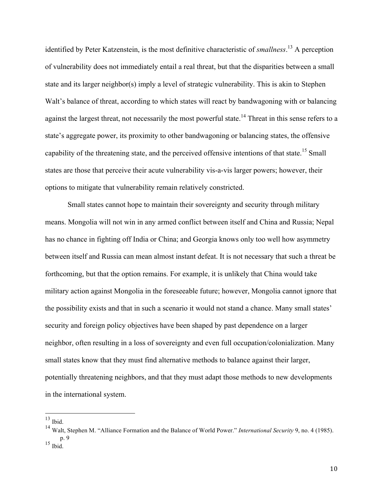identified by Peter Katzenstein, is the most definitive characteristic of *smallness*. 13 A perception of vulnerability does not immediately entail a real threat, but that the disparities between a small state and its larger neighbor(s) imply a level of strategic vulnerability. This is akin to Stephen Walt's balance of threat, according to which states will react by bandwagoning with or balancing against the largest threat, not necessarily the most powerful state.<sup>14</sup> Threat in this sense refers to a state's aggregate power, its proximity to other bandwagoning or balancing states, the offensive capability of the threatening state, and the perceived offensive intentions of that state.<sup>15</sup> Small states are those that perceive their acute vulnerability vis-a-vis larger powers; however, their options to mitigate that vulnerability remain relatively constricted.

Small states cannot hope to maintain their sovereignty and security through military means. Mongolia will not win in any armed conflict between itself and China and Russia; Nepal has no chance in fighting off India or China; and Georgia knows only too well how asymmetry between itself and Russia can mean almost instant defeat. It is not necessary that such a threat be forthcoming, but that the option remains. For example, it is unlikely that China would take military action against Mongolia in the foreseeable future; however, Mongolia cannot ignore that the possibility exists and that in such a scenario it would not stand a chance. Many small states' security and foreign policy objectives have been shaped by past dependence on a larger neighbor, often resulting in a loss of sovereignty and even full occupation/colonialization. Many small states know that they must find alternative methods to balance against their larger, potentially threatening neighbors, and that they must adapt those methods to new developments in the international system.

 $13$  Ibid.

<sup>14</sup> Walt, Stephen M. "Alliance Formation and the Balance of World Power." *International Security* 9, no. 4 (1985). p. 9

 $15$  Ibid.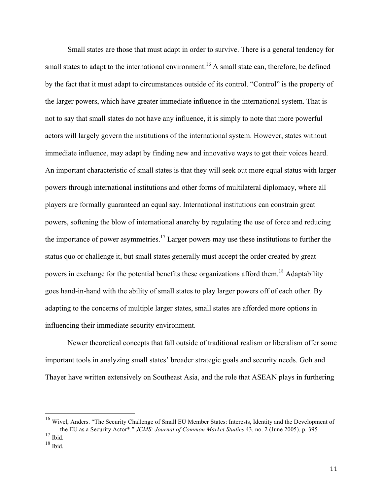Small states are those that must adapt in order to survive. There is a general tendency for small states to adapt to the international environment.<sup>16</sup> A small state can, therefore, be defined by the fact that it must adapt to circumstances outside of its control. "Control" is the property of the larger powers, which have greater immediate influence in the international system. That is not to say that small states do not have any influence, it is simply to note that more powerful actors will largely govern the institutions of the international system. However, states without immediate influence, may adapt by finding new and innovative ways to get their voices heard. An important characteristic of small states is that they will seek out more equal status with larger powers through international institutions and other forms of multilateral diplomacy, where all players are formally guaranteed an equal say. International institutions can constrain great powers, softening the blow of international anarchy by regulating the use of force and reducing the importance of power asymmetries.<sup>17</sup> Larger powers may use these institutions to further the status quo or challenge it, but small states generally must accept the order created by great powers in exchange for the potential benefits these organizations afford them.<sup>18</sup> Adaptability goes hand-in-hand with the ability of small states to play larger powers off of each other. By adapting to the concerns of multiple larger states, small states are afforded more options in influencing their immediate security environment.

Newer theoretical concepts that fall outside of traditional realism or liberalism offer some important tools in analyzing small states' broader strategic goals and security needs. Goh and Thayer have written extensively on Southeast Asia, and the role that ASEAN plays in furthering

<sup>&</sup>lt;sup>16</sup> Wivel, Anders. "The Security Challenge of Small EU Member States: Interests, Identity and the Development of the EU as a Security Actor\*." *JCMS: Journal of Common Market Studies* 43, no. 2 (June 2005). p. 395

 $17$  Ibid.

 $18$  Ibid.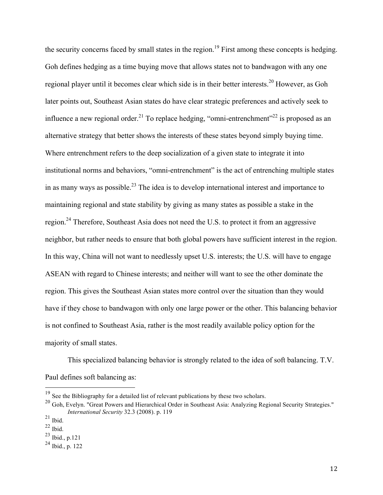the security concerns faced by small states in the region.<sup>19</sup> First among these concepts is hedging. Goh defines hedging as a time buying move that allows states not to bandwagon with any one regional player until it becomes clear which side is in their better interests.<sup>20</sup> However, as Goh later points out, Southeast Asian states do have clear strategic preferences and actively seek to influence a new regional order.<sup>21</sup> To replace hedging, "omni-entrenchment"<sup>22</sup> is proposed as an alternative strategy that better shows the interests of these states beyond simply buying time. Where entrenchment refers to the deep socialization of a given state to integrate it into institutional norms and behaviors, "omni-entrenchment" is the act of entrenching multiple states in as many ways as possible.<sup>23</sup> The idea is to develop international interest and importance to maintaining regional and state stability by giving as many states as possible a stake in the region.<sup>24</sup> Therefore, Southeast Asia does not need the U.S. to protect it from an aggressive neighbor, but rather needs to ensure that both global powers have sufficient interest in the region. In this way, China will not want to needlessly upset U.S. interests; the U.S. will have to engage ASEAN with regard to Chinese interests; and neither will want to see the other dominate the region. This gives the Southeast Asian states more control over the situation than they would have if they chose to bandwagon with only one large power or the other. This balancing behavior is not confined to Southeast Asia, rather is the most readily available policy option for the majority of small states.

This specialized balancing behavior is strongly related to the idea of soft balancing. T.V. Paul defines soft balancing as:

 $19$  See the Bibliography for a detailed list of relevant publications by these two scholars.

<sup>20</sup> Goh, Evelyn. "Great Powers and Hierarchical Order in Southeast Asia: Analyzing Regional Security Strategies." *International Security* 32.3 (2008). p. 119

 $21$  Ibid.

 $22$  Ibid.

 $^{23}$  Ibid., p.121

<sup>24</sup> Ibid., p. 122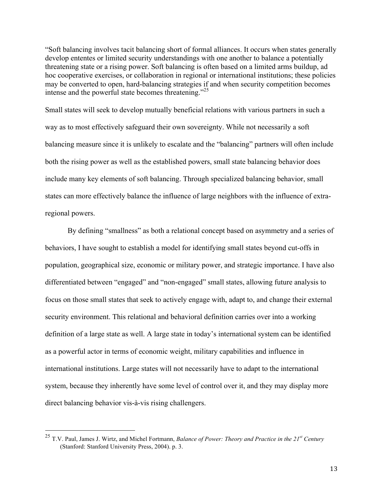"Soft balancing involves tacit balancing short of formal alliances. It occurs when states generally develop ententes or limited security understandings with one another to balance a potentially threatening state or a rising power. Soft balancing is often based on a limited arms buildup, ad hoc cooperative exercises, or collaboration in regional or international institutions; these policies may be converted to open, hard-balancing strategies if and when security competition becomes intense and the powerful state becomes threatening." 25

Small states will seek to develop mutually beneficial relations with various partners in such a way as to most effectively safeguard their own sovereignty. While not necessarily a soft balancing measure since it is unlikely to escalate and the "balancing" partners will often include both the rising power as well as the established powers, small state balancing behavior does include many key elements of soft balancing. Through specialized balancing behavior, small states can more effectively balance the influence of large neighbors with the influence of extraregional powers.

By defining "smallness" as both a relational concept based on asymmetry and a series of behaviors, I have sought to establish a model for identifying small states beyond cut-offs in population, geographical size, economic or military power, and strategic importance. I have also differentiated between "engaged" and "non-engaged" small states, allowing future analysis to focus on those small states that seek to actively engage with, adapt to, and change their external security environment. This relational and behavioral definition carries over into a working definition of a large state as well. A large state in today's international system can be identified as a powerful actor in terms of economic weight, military capabilities and influence in international institutions. Large states will not necessarily have to adapt to the international system, because they inherently have some level of control over it, and they may display more direct balancing behavior vis-à-vis rising challengers.

 <sup>25</sup> T.V. Paul, James J. Wirtz, and Michel Fortmann, *Balance of Power: Theory and Practice in the 21st Century* (Stanford: Stanford University Press, 2004). p. 3.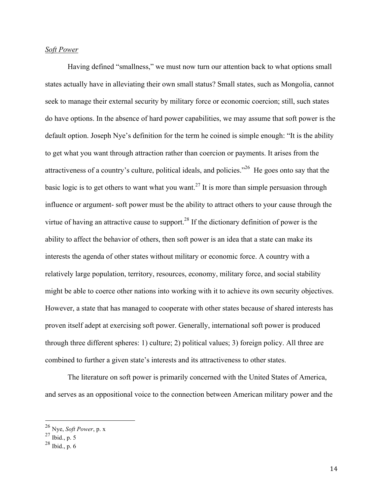#### *Soft Power*

Having defined "smallness," we must now turn our attention back to what options small states actually have in alleviating their own small status? Small states, such as Mongolia, cannot seek to manage their external security by military force or economic coercion; still, such states do have options. In the absence of hard power capabilities, we may assume that soft power is the default option. Joseph Nye's definition for the term he coined is simple enough: "It is the ability to get what you want through attraction rather than coercion or payments. It arises from the attractiveness of a country's culture, political ideals, and policies."<sup>26</sup> He goes onto say that the basic logic is to get others to want what you want.<sup>27</sup> It is more than simple persuasion through influence or argument- soft power must be the ability to attract others to your cause through the virtue of having an attractive cause to support.<sup>28</sup> If the dictionary definition of power is the ability to affect the behavior of others, then soft power is an idea that a state can make its interests the agenda of other states without military or economic force. A country with a relatively large population, territory, resources, economy, military force, and social stability might be able to coerce other nations into working with it to achieve its own security objectives. However, a state that has managed to cooperate with other states because of shared interests has proven itself adept at exercising soft power. Generally, international soft power is produced through three different spheres: 1) culture; 2) political values; 3) foreign policy. All three are combined to further a given state's interests and its attractiveness to other states.

The literature on soft power is primarily concerned with the United States of America, and serves as an oppositional voice to the connection between American military power and the

 <sup>26</sup> Nye, *Soft Power*, p. x

 $^{27}$  Ibid., p. 5

 $28$  Ibid., p. 6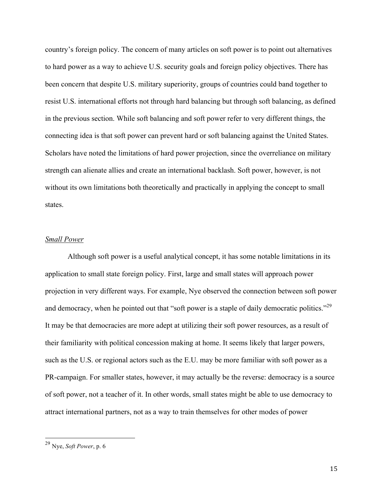country's foreign policy. The concern of many articles on soft power is to point out alternatives to hard power as a way to achieve U.S. security goals and foreign policy objectives. There has been concern that despite U.S. military superiority, groups of countries could band together to resist U.S. international efforts not through hard balancing but through soft balancing, as defined in the previous section. While soft balancing and soft power refer to very different things, the connecting idea is that soft power can prevent hard or soft balancing against the United States. Scholars have noted the limitations of hard power projection, since the overreliance on military strength can alienate allies and create an international backlash. Soft power, however, is not without its own limitations both theoretically and practically in applying the concept to small states.

#### *Small Power*

Although soft power is a useful analytical concept, it has some notable limitations in its application to small state foreign policy. First, large and small states will approach power projection in very different ways. For example, Nye observed the connection between soft power and democracy, when he pointed out that "soft power is a staple of daily democratic politics."<sup>29</sup> It may be that democracies are more adept at utilizing their soft power resources, as a result of their familiarity with political concession making at home. It seems likely that larger powers, such as the U.S. or regional actors such as the E.U. may be more familiar with soft power as a PR-campaign. For smaller states, however, it may actually be the reverse: democracy is a source of soft power, not a teacher of it. In other words, small states might be able to use democracy to attract international partners, not as a way to train themselves for other modes of power

 <sup>29</sup> Nye, *Soft Power*, p. 6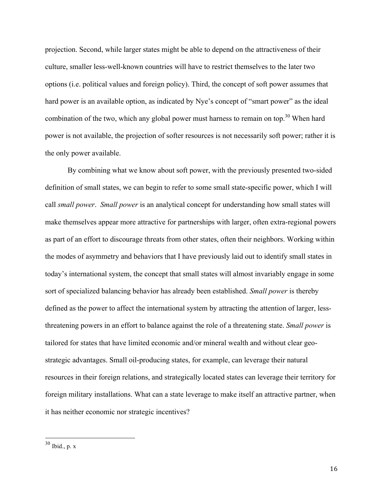projection. Second, while larger states might be able to depend on the attractiveness of their culture, smaller less-well-known countries will have to restrict themselves to the later two options (i.e. political values and foreign policy). Third, the concept of soft power assumes that hard power is an available option, as indicated by Nye's concept of "smart power" as the ideal combination of the two, which any global power must harness to remain on top.<sup>30</sup> When hard power is not available, the projection of softer resources is not necessarily soft power; rather it is the only power available.

By combining what we know about soft power, with the previously presented two-sided definition of small states, we can begin to refer to some small state-specific power, which I will call *small power*. *Small power* is an analytical concept for understanding how small states will make themselves appear more attractive for partnerships with larger, often extra-regional powers as part of an effort to discourage threats from other states, often their neighbors. Working within the modes of asymmetry and behaviors that I have previously laid out to identify small states in today's international system, the concept that small states will almost invariably engage in some sort of specialized balancing behavior has already been established. *Small power* is thereby defined as the power to affect the international system by attracting the attention of larger, lessthreatening powers in an effort to balance against the role of a threatening state. *Small power* is tailored for states that have limited economic and/or mineral wealth and without clear geostrategic advantages. Small oil-producing states, for example, can leverage their natural resources in their foreign relations, and strategically located states can leverage their territory for foreign military installations. What can a state leverage to make itself an attractive partner, when it has neither economic nor strategic incentives?

16

 $30$  Ibid., p. x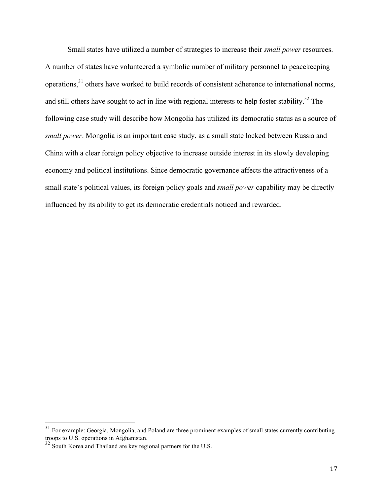Small states have utilized a number of strategies to increase their *small power* resources. A number of states have volunteered a symbolic number of military personnel to peacekeeping operations,<sup>31</sup> others have worked to build records of consistent adherence to international norms, and still others have sought to act in line with regional interests to help foster stability.<sup>32</sup> The following case study will describe how Mongolia has utilized its democratic status as a source of *small power*. Mongolia is an important case study, as a small state locked between Russia and China with a clear foreign policy objective to increase outside interest in its slowly developing economy and political institutions. Since democratic governance affects the attractiveness of a small state's political values, its foreign policy goals and *small power* capability may be directly influenced by its ability to get its democratic credentials noticed and rewarded.

<sup>&</sup>lt;sup>31</sup> For example: Georgia, Mongolia, and Poland are three prominent examples of small states currently contributing troops to U.S. operations in Afghanistan.

 $32$  South Korea and Thailand are key regional partners for the U.S.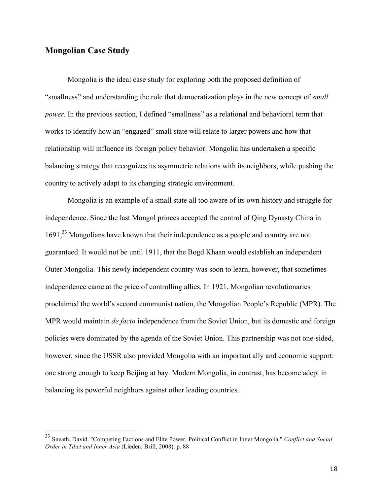### **Mongolian Case Study**

Mongolia is the ideal case study for exploring both the proposed definition of "smallness" and understanding the role that democratization plays in the new concept of *small power*. In the previous section, I defined "smallness" as a relational and behavioral term that works to identify how an "engaged" small state will relate to larger powers and how that relationship will influence its foreign policy behavior. Mongolia has undertaken a specific balancing strategy that recognizes its asymmetric relations with its neighbors, while pushing the country to actively adapt to its changing strategic environment.

Mongolia is an example of a small state all too aware of its own history and struggle for independence. Since the last Mongol princes accepted the control of Qing Dynasty China in 1691,<sup>33</sup> Mongolians have known that their independence as a people and country are not guaranteed. It would not be until 1911, that the Bogd Khaan would establish an independent Outer Mongolia. This newly independent country was soon to learn, however, that sometimes independence came at the price of controlling allies. In 1921, Mongolian revolutionaries proclaimed the world's second communist nation, the Mongolian People's Republic (MPR). The MPR would maintain *de facto* independence from the Soviet Union, but its domestic and foreign policies were dominated by the agenda of the Soviet Union. This partnership was not one-sided, however, since the USSR also provided Mongolia with an important ally and economic support: one strong enough to keep Beijing at bay. Modern Mongolia, in contrast, has become adept in balancing its powerful neighbors against other leading countries.

 <sup>33</sup> Sneath, David. "Competing Factions and Elite Power: Political Conflict in Inner Mongolia." *Conflict and Social Order in Tibet and Inner Asia* (Lieden: Brill, 2008). p. 88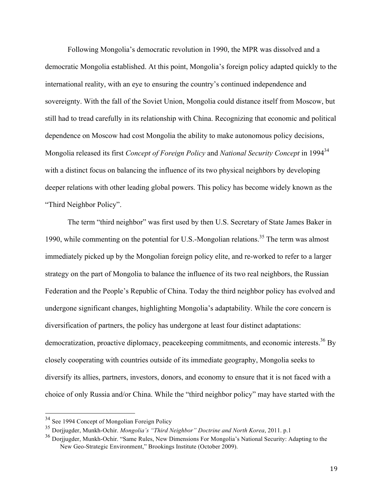Following Mongolia's democratic revolution in 1990, the MPR was dissolved and a democratic Mongolia established. At this point, Mongolia's foreign policy adapted quickly to the international reality, with an eye to ensuring the country's continued independence and sovereignty. With the fall of the Soviet Union, Mongolia could distance itself from Moscow, but still had to tread carefully in its relationship with China. Recognizing that economic and political dependence on Moscow had cost Mongolia the ability to make autonomous policy decisions, Mongolia released its first *Concept of Foreign Policy* and *National Security Concept* in 199434 with a distinct focus on balancing the influence of its two physical neighbors by developing deeper relations with other leading global powers. This policy has become widely known as the "Third Neighbor Policy".

The term "third neighbor" was first used by then U.S. Secretary of State James Baker in 1990, while commenting on the potential for U.S.-Mongolian relations. 35 The term was almost immediately picked up by the Mongolian foreign policy elite, and re-worked to refer to a larger strategy on the part of Mongolia to balance the influence of its two real neighbors, the Russian Federation and the People's Republic of China. Today the third neighbor policy has evolved and undergone significant changes, highlighting Mongolia's adaptability. While the core concern is diversification of partners, the policy has undergone at least four distinct adaptations: democratization, proactive diplomacy, peacekeeping commitments, and economic interests.<sup>36</sup> By closely cooperating with countries outside of its immediate geography, Mongolia seeks to diversify its allies, partners, investors, donors, and economy to ensure that it is not faced with a choice of only Russia and/or China. While the "third neighbor policy" may have started with the

 <sup>34</sup> See 1994 Concept of Mongolian Foreign Policy

<sup>35</sup> Dorjjugder, Munkh-Ochir. *Mongolia's "Third Neighbor" Doctrine and North Korea*, 2011. p.1

<sup>&</sup>lt;sup>36</sup> Dorijugder, Munkh-Ochir. "Same Rules, New Dimensions For Mongolia's National Security: Adapting to the New Geo-Strategic Environment," Brookings Institute (October 2009).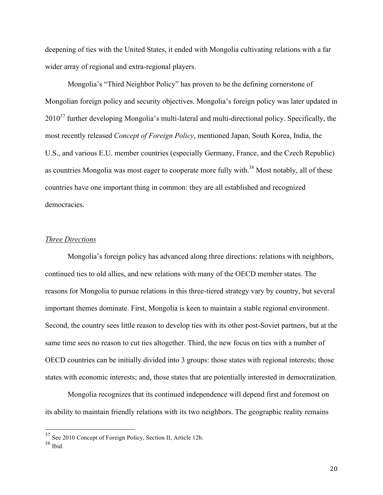deepening of ties with the United States, it ended with Mongolia cultivating relations with a far wider array of regional and extra-regional players.

Mongolia's "Third Neighbor Policy" has proven to be the defining cornerstone of Mongolian foreign policy and security objectives. Mongolia's foreign policy was later updated in  $2010^{37}$  further developing Mongolia's multi-lateral and multi-directional policy. Specifically, the most recently released *Concept of Foreign Policy*, mentioned Japan, South Korea, India, the U.S., and various E.U. member countries (especially Germany, France, and the Czech Republic) as countries Mongolia was most eager to cooperate more fully with.<sup>38</sup> Most notably, all of these countries have one important thing in common: they are all established and recognized democracies.

#### *Three Directions*

Mongolia's foreign policy has advanced along three directions: relations with neighbors, continued ties to old allies, and new relations with many of the OECD member states. The reasons for Mongolia to pursue relations in this three-tiered strategy vary by country, but several important themes dominate. First, Mongolia is keen to maintain a stable regional environment. Second, the country sees little reason to develop ties with its other post-Soviet partners, but at the same time sees no reason to cut ties altogether. Third, the new focus on ties with a number of OECD countries can be initially divided into 3 groups: those states with regional interests; those states with economic interests; and, those states that are potentially interested in democratization.

Mongolia recognizes that its continued independence will depend first and foremost on its ability to maintain friendly relations with its two neighbors. The geographic reality remains

 <sup>37</sup> See 2010 Concept of Foreign Policy, Section II, Article 12b.

<sup>38</sup> Ibid.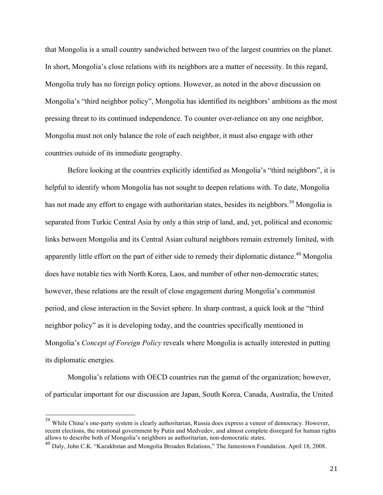that Mongolia is a small country sandwiched between two of the largest countries on the planet. In short, Mongolia's close relations with its neighbors are a matter of necessity. In this regard, Mongolia truly has no foreign policy options. However, as noted in the above discussion on Mongolia's "third neighbor policy", Mongolia has identified its neighbors' ambitions as the most pressing threat to its continued independence. To counter over-reliance on any one neighbor, Mongolia must not only balance the role of each neighbor, it must also engage with other countries outside of its immediate geography.

Before looking at the countries explicitly identified as Mongolia's "third neighbors", it is helpful to identify whom Mongolia has not sought to deepen relations with. To date, Mongolia has not made any effort to engage with authoritarian states, besides its neighbors.<sup>39</sup> Mongolia is separated from Turkic Central Asia by only a thin strip of land, and, yet, political and economic links between Mongolia and its Central Asian cultural neighbors remain extremely limited, with apparently little effort on the part of either side to remedy their diplomatic distance.<sup>40</sup> Mongolia does have notable ties with North Korea, Laos, and number of other non-democratic states; however, these relations are the result of close engagement during Mongolia's communist period, and close interaction in the Soviet sphere. In sharp contrast, a quick look at the "third neighbor policy" as it is developing today, and the countries specifically mentioned in Mongolia's *Concept of Foreign Policy* reveals where Mongolia is actually interested in putting its diplomatic energies.

Mongolia's relations with OECD countries run the gamut of the organization; however, of particular important for our discussion are Japan, South Korea, Canada, Australia, the United

<sup>&</sup>lt;sup>39</sup> While China's one-party system is clearly authoritarian, Russia does express a veneer of democracy. However, recent elections, the rotational government by Putin and Medvedev, and almost complete disregard for human rights allows to describe both of Mongolia's neighbors as authoritarian, non-democratic states.

<sup>40</sup> Daly, John C.K. "Kazakhstan and Mongolia Broaden Relations," The Jamestown Foundation. April 18, 2008.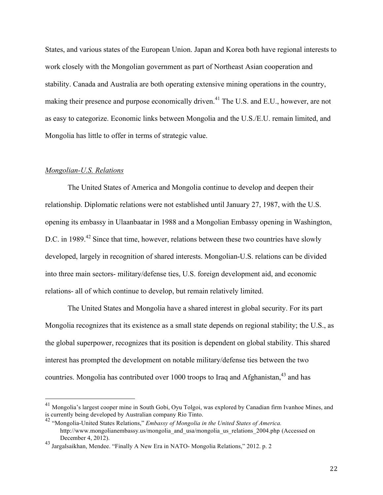States, and various states of the European Union. Japan and Korea both have regional interests to work closely with the Mongolian government as part of Northeast Asian cooperation and stability. Canada and Australia are both operating extensive mining operations in the country, making their presence and purpose economically driven.<sup>41</sup> The U.S. and E.U., however, are not as easy to categorize. Economic links between Mongolia and the U.S./E.U. remain limited, and Mongolia has little to offer in terms of strategic value.

#### *Mongolian-U.S. Relations*

The United States of America and Mongolia continue to develop and deepen their relationship. Diplomatic relations were not established until January 27, 1987, with the U.S. opening its embassy in Ulaanbaatar in 1988 and a Mongolian Embassy opening in Washington, D.C. in 1989.<sup>42</sup> Since that time, however, relations between these two countries have slowly developed, largely in recognition of shared interests. Mongolian-U.S. relations can be divided into three main sectors- military/defense ties, U.S. foreign development aid, and economic relations- all of which continue to develop, but remain relatively limited.

The United States and Mongolia have a shared interest in global security. For its part Mongolia recognizes that its existence as a small state depends on regional stability; the U.S., as the global superpower, recognizes that its position is dependent on global stability. This shared interest has prompted the development on notable military/defense ties between the two countries. Mongolia has contributed over 1000 troops to Iraq and Afghanistan,<sup>43</sup> and has

 <sup>41</sup> Mongolia's largest cooper mine in South Gobi, Oyu Tolgoi, was explored by Canadian firm Ivanhoe Mines, and is currently being developed by Australian company Rio Tinto.

<sup>42</sup> "Mongolia-United States Relations," *Embassy of Mongolia in the United States of America.*  http://www.mongolianembassy.us/mongolia\_and\_usa/mongolia\_us\_relations\_2004.php (Accessed on December 4, 2012).

<sup>43</sup> Jargalsaikhan, Mendee. "Finally A New Era in NATO- Mongolia Relations," 2012. p. 2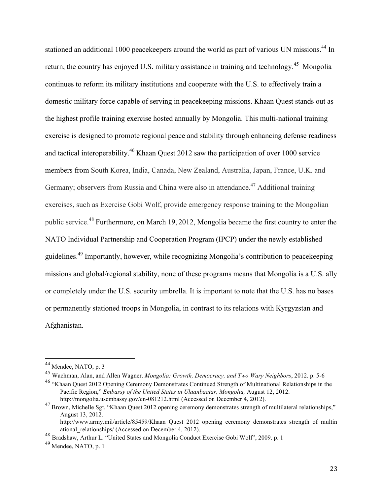stationed an additional 1000 peacekeepers around the world as part of various UN missions.<sup>44</sup> In return, the country has enjoyed U.S. military assistance in training and technology.<sup>45</sup> Mongolia continues to reform its military institutions and cooperate with the U.S. to effectively train a domestic military force capable of serving in peacekeeping missions. Khaan Quest stands out as the highest profile training exercise hosted annually by Mongolia. This multi-national training exercise is designed to promote regional peace and stability through enhancing defense readiness and tactical interoperability.<sup>46</sup> Khaan Quest 2012 saw the participation of over 1000 service members from South Korea, India, Canada, New Zealand, Australia, Japan, France, U.K. and Germany; observers from Russia and China were also in attendance.<sup>47</sup> Additional training exercises, such as Exercise Gobi Wolf, provide emergency response training to the Mongolian public service.<sup>48</sup> Furthermore, on March 19, 2012, Mongolia became the first country to enter the NATO Individual Partnership and Cooperation Program (IPCP) under the newly established guidelines.<sup>49</sup> Importantly, however, while recognizing Mongolia's contribution to peacekeeping missions and global/regional stability, none of these programs means that Mongolia is a U.S. ally or completely under the U.S. security umbrella. It is important to note that the U.S. has no bases or permanently stationed troops in Mongolia, in contrast to its relations with Kyrgyzstan and Afghanistan.

 <sup>44</sup> Mendee, NATO, p. 3

<sup>45</sup> Wachman, Alan, and Allen Wagner. *Mongolia: Growth, Democracy, and Two Wary Neighbors*, 2012. p. 5-6

<sup>46</sup> "Khaan Quest 2012 Opening Ceremony Demonstrates Continued Strength of Multinational Relationships in the Pacific Region," *Embassy of the United States in Ulaanbaatar, Mongolia, August 12, 2012.* http://mongolia.usembassy.gov/en-081212.html (Accessed on December 4, 2012).

<sup>&</sup>lt;sup>47</sup> Brown, Michelle Sgt. "Khaan Quest 2012 opening ceremony demonstrates strength of multilateral relationships," August 13, 2012. http://www.army.mil/article/85459/Khaan\_Quest\_2012\_opening\_ceremony\_demonstrates\_strength\_of\_multin

ational\_relationships/ (Accessed on December 4, 2012).

<sup>48</sup> Bradshaw, Arthur L. "United States and Mongolia Conduct Exercise Gobi Wolf", 2009. p. 1

<sup>49</sup> Mendee, NATO, p. 1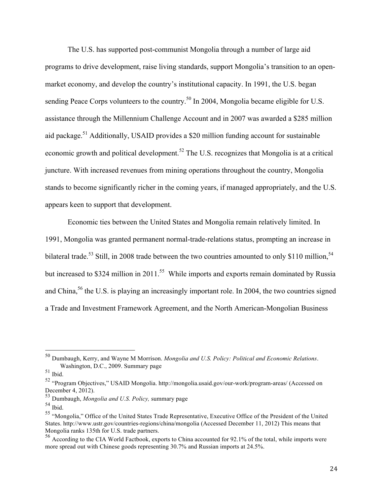The U.S. has supported post-communist Mongolia through a number of large aid programs to drive development, raise living standards, support Mongolia's transition to an openmarket economy, and develop the country's institutional capacity. In 1991, the U.S. began sending Peace Corps volunteers to the country.<sup>50</sup> In 2004, Mongolia became eligible for U.S. assistance through the Millennium Challenge Account and in 2007 was awarded a \$285 million aid package.<sup>51</sup> Additionally, USAID provides a \$20 million funding account for sustainable economic growth and political development.<sup>52</sup> The U.S. recognizes that Mongolia is at a critical juncture. With increased revenues from mining operations throughout the country, Mongolia stands to become significantly richer in the coming years, if managed appropriately, and the U.S. appears keen to support that development.

Economic ties between the United States and Mongolia remain relatively limited. In 1991, Mongolia was granted permanent normal-trade-relations status, prompting an increase in bilateral trade.<sup>53</sup> Still, in 2008 trade between the two countries amounted to only \$110 million,<sup>54</sup> but increased to \$324 million in 2011.<sup>55</sup> While imports and exports remain dominated by Russia and China,<sup>56</sup> the U.S. is playing an increasingly important role. In 2004, the two countries signed a Trade and Investment Framework Agreement, and the North American-Mongolian Business

 <sup>50</sup> Dumbaugh, Kerry, and Wayne M Morrison. *Mongolia and U.S. Policy: Political and Economic Relations*. Washington, D.C., 2009. Summary page

 $^{\rm 51}$  Ibid.

<sup>52</sup> "Program Objectives," USAID Mongolia. http://mongolia.usaid.gov/our-work/program-areas/ (Accessed on December 4, 2012).

<sup>53</sup> Dumbaugh, *Mongolia and U.S. Policy,* summary page

<sup>54</sup> Ibid.

<sup>55</sup> "Mongolia," Office of the United States Trade Representative, Executive Office of the President of the United States. http://www.ustr.gov/countries-regions/china/mongolia (Accessed December 11, 2012) This means that Mongolia ranks 135th for U.S. trade partners.

<sup>56</sup> According to the CIA World Factbook, exports to China accounted for 92.1% of the total, while imports were more spread out with Chinese goods representing 30.7% and Russian imports at 24.5%.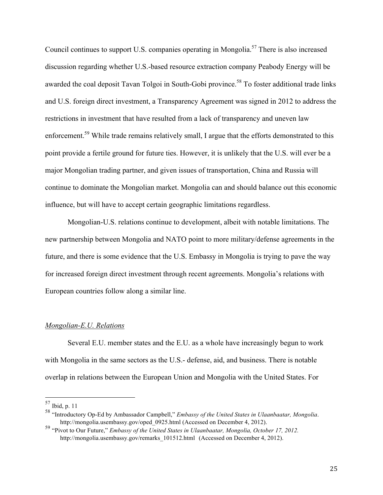Council continues to support U.S. companies operating in Mongolia.<sup>57</sup> There is also increased discussion regarding whether U.S.-based resource extraction company Peabody Energy will be awarded the coal deposit Tavan Tolgoi in South-Gobi province.<sup>58</sup> To foster additional trade links and U.S. foreign direct investment, a Transparency Agreement was signed in 2012 to address the restrictions in investment that have resulted from a lack of transparency and uneven law enforcement.<sup>59</sup> While trade remains relatively small, I argue that the efforts demonstrated to this point provide a fertile ground for future ties. However, it is unlikely that the U.S. will ever be a major Mongolian trading partner, and given issues of transportation, China and Russia will continue to dominate the Mongolian market. Mongolia can and should balance out this economic influence, but will have to accept certain geographic limitations regardless.

Mongolian-U.S. relations continue to development, albeit with notable limitations. The new partnership between Mongolia and NATO point to more military/defense agreements in the future, and there is some evidence that the U.S. Embassy in Mongolia is trying to pave the way for increased foreign direct investment through recent agreements. Mongolia's relations with European countries follow along a similar line.

#### *Mongolian-E.U. Relations*

Several E.U. member states and the E.U. as a whole have increasingly begun to work with Mongolia in the same sectors as the U.S.- defense, aid, and business. There is notable overlap in relations between the European Union and Mongolia with the United States. For

 <sup>57</sup> Ibid, p. 11

<sup>58</sup> "Introductory Op-Ed by Ambassador Campbell," *Embassy of the United States in Ulaanbaatar, Mongolia*. http://mongolia.usembassy.gov/oped 0925.html (Accessed on December 4, 2012).

<sup>59</sup> "Pivot to Our Future," *Embassy of the United States in Ulaanbaatar, Mongolia, October 17, 2012.*  http://mongolia.usembassy.gov/remarks\_101512.html (Accessed on December 4, 2012).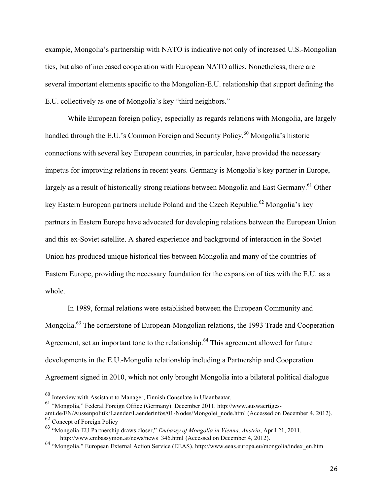example, Mongolia's partnership with NATO is indicative not only of increased U.S.-Mongolian ties, but also of increased cooperation with European NATO allies. Nonetheless, there are several important elements specific to the Mongolian-E.U. relationship that support defining the E.U. collectively as one of Mongolia's key "third neighbors."

While European foreign policy, especially as regards relations with Mongolia, are largely handled through the E.U.'s Common Foreign and Security Policy,<sup>60</sup> Mongolia's historic connections with several key European countries, in particular, have provided the necessary impetus for improving relations in recent years. Germany is Mongolia's key partner in Europe, largely as a result of historically strong relations between Mongolia and East Germany.<sup>61</sup> Other key Eastern European partners include Poland and the Czech Republic.<sup>62</sup> Mongolia's key partners in Eastern Europe have advocated for developing relations between the European Union and this ex-Soviet satellite. A shared experience and background of interaction in the Soviet Union has produced unique historical ties between Mongolia and many of the countries of Eastern Europe, providing the necessary foundation for the expansion of ties with the E.U. as a whole.

In 1989, formal relations were established between the European Community and Mongolia.<sup>63</sup> The cornerstone of European-Mongolian relations, the 1993 Trade and Cooperation Agreement, set an important tone to the relationship.<sup>64</sup> This agreement allowed for future developments in the E.U.-Mongolia relationship including a Partnership and Cooperation Agreement signed in 2010, which not only brought Mongolia into a bilateral political dialogue

 <sup>60</sup> Interview with Assistant to Manager, Finnish Consulate in Ulaanbaatar.

<sup>61</sup> "Mongolia," Federal Foreign Office (Germany). December 2011. http://www.auswaertigesamt.de/EN/Aussenpolitik/Laender/Laenderinfos/01-Nodes/Mongolei\_node.html (Accessed on December 4, 2012). <sup>62</sup> Concept of Foreign Policy

<sup>63</sup> "Mongolia-EU Partnership draws closer," *Embassy of Mongolia in Vienna, Austria*, April 21, 2011. http://www.embassymon.at/news/news\_346.html (Accessed on December 4, 2012).

<sup>64</sup> "Mongolia," European External Action Service (EEAS). http://www.eeas.europa.eu/mongolia/index\_en.htm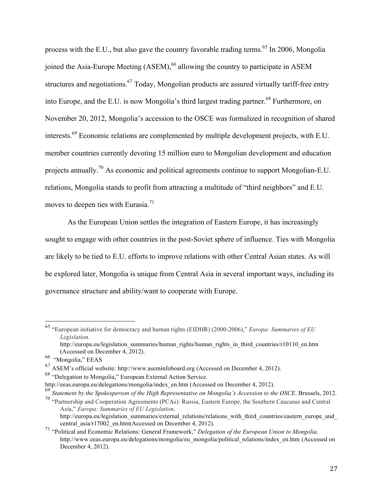process with the E.U., but also gave the country favorable trading terms.<sup>65</sup> In 2006, Mongolia joined the Asia-Europe Meeting (ASEM),<sup>66</sup> allowing the country to participate in ASEM structures and negotiations.<sup>67</sup> Today, Mongolian products are assured virtually tariff-free entry into Europe, and the E.U. is now Mongolia's third largest trading partner. 68 Furthermore, on November 20, 2012, Mongolia's accession to the OSCE was formalized in recognition of shared interests.<sup>69</sup> Economic relations are complemented by multiple development projects, with E.U. member countries currently devoting 15 million euro to Mongolian development and education projects annually.70 As economic and political agreements continue to support Mongolian-E.U. relations, Mongolia stands to profit from attracting a multitude of "third neighbors" and E.U. moves to deepen ties with Eurasia.<sup>71</sup>

As the European Union settles the integration of Eastern Europe, it has increasingly sought to engage with other countries in the post-Soviet sphere of influence. Ties with Mongolia are likely to be tied to E.U. efforts to improve relations with other Central Asian states. As will be explored later, Mongolia is unique from Central Asia in several important ways, including its governance structure and ability/want to cooperate with Europe.

 <sup>65</sup> "European initiative for democracy and human rights (EIDHR) (2000-2006)," *Europa: Summaries of EU Legislation*.

http://europa.eu/legislation\_summaries/human\_rights/human\_rights\_in\_third\_countries/r10110\_en.htm (Accessed on December 4, 2012).

<sup>66 &</sup>quot;Mongolia," EEAS

<sup>67</sup> ASEM's official website: http://www.aseminfoboard.org (Accessed on December 4, 2012).

<sup>68</sup> "Delegation to Mongolia," European External Action Service.

http://eeas.europa.eu/delegations/mongolia/index\_en.htm (Accessed on December 4, 2012).

<sup>69</sup> *Statement by the Spokesperson of the High Representative on Mongolia's Accession to the OSCE*. Brussels, 2012.

<sup>70</sup> "Partnership and Cooperation Agreements (PCAs): Russia, Eastern Europe, the Southern Caucasus and Central Asia," *Europa: Summaries of EU Legislation*.

http://europa.eu/legislation\_summaries/external\_relations/relations\_with\_third\_countries/eastern\_europe\_and central\_asia/r17002\_en.htm(Accessed on December 4, 2012).

<sup>71</sup> "Political and Economic Relations: General Framework," *Delegation of the European Union to Mongolia*. http://www.eeas.europa.eu/delegations/mongolia/eu\_mongolia/political\_relations/index\_en.htm (Accessed on December 4, 2012).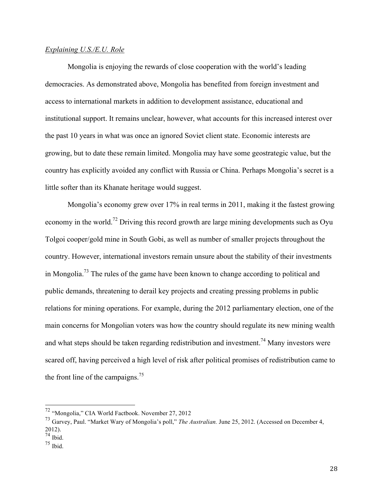#### *Explaining U.S./E.U. Role*

Mongolia is enjoying the rewards of close cooperation with the world's leading democracies. As demonstrated above, Mongolia has benefited from foreign investment and access to international markets in addition to development assistance, educational and institutional support. It remains unclear, however, what accounts for this increased interest over the past 10 years in what was once an ignored Soviet client state. Economic interests are growing, but to date these remain limited. Mongolia may have some geostrategic value, but the country has explicitly avoided any conflict with Russia or China. Perhaps Mongolia's secret is a little softer than its Khanate heritage would suggest.

Mongolia's economy grew over 17% in real terms in 2011, making it the fastest growing economy in the world.<sup>72</sup> Driving this record growth are large mining developments such as Oyu Tolgoi cooper/gold mine in South Gobi, as well as number of smaller projects throughout the country. However, international investors remain unsure about the stability of their investments in Mongolia.<sup>73</sup> The rules of the game have been known to change according to political and public demands, threatening to derail key projects and creating pressing problems in public relations for mining operations. For example, during the 2012 parliamentary election, one of the main concerns for Mongolian voters was how the country should regulate its new mining wealth and what steps should be taken regarding redistribution and investment.<sup>74</sup> Many investors were scared off, having perceived a high level of risk after political promises of redistribution came to the front line of the campaigns.<sup>75</sup>

 <sup>72</sup> "Mongolia," CIA World Factbook. November 27, 2012

<sup>73</sup> Garvey, Paul. "Market Wary of Mongolia's poll," *The Australian.* June 25, 2012. (Accessed on December 4, 2012).

<sup>74</sup> Ibid.

<sup>75</sup> Ibid.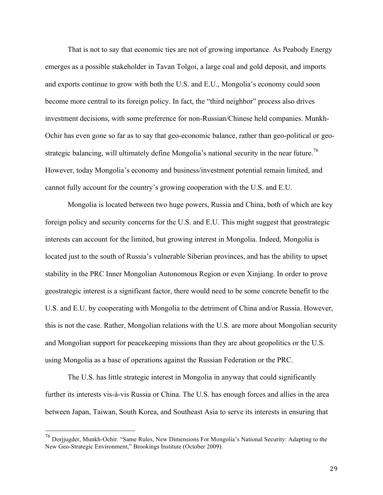That is not to say that economic ties are not of growing importance. As Peabody Energy emerges as a possible stakeholder in Tavan Tolgoi, a large coal and gold deposit, and imports and exports continue to grow with both the U.S. and E.U., Mongolia's economy could soon become more central to its foreign policy. In fact, the "third neighbor" process also drives investment decisions, with some preference for non-Russian/Chinese held companies. Munkh-Ochir has even gone so far as to say that geo-economic balance, rather than geo-political or geostrategic balancing, will ultimately define Mongolia's national security in the near future.<sup>76</sup> However, today Mongolia's economy and business/investment potential remain limited, and cannot fully account for the country's growing cooperation with the U.S. and E.U.

Mongolia is located between two huge powers, Russia and China, both of which are key foreign policy and security concerns for the U.S. and E.U. This might suggest that geostrategic interests can account for the limited, but growing interest in Mongolia. Indeed, Mongolia is located just to the south of Russia's vulnerable Siberian provinces, and has the ability to upset stability in the PRC Inner Mongolian Autonomous Region or even Xinjiang. In order to prove geostrategic interest is a significant factor, there would need to be some concrete benefit to the U.S. and E.U. by cooperating with Mongolia to the detriment of China and/or Russia. However, this is not the case. Rather, Mongolian relations with the U.S. are more about Mongolian security and Mongolian support for peacekeeping missions than they are about geopolitics or the U.S. using Mongolia as a base of operations against the Russian Federation or the PRC.

The U.S. has little strategic interest in Mongolia in anyway that could significantly further its interests vis-à-vis Russia or China. The U.S. has enough forces and allies in the area between Japan, Taiwan, South Korea, and Southeast Asia to serve its interests in ensuring that

 <sup>76</sup> Dorjjugder, Munkh-Ochir. "Same Rules, New Dimensions For Mongolia's National Security: Adapting to the New Geo-Strategic Environment," Brookings Institute (October 2009).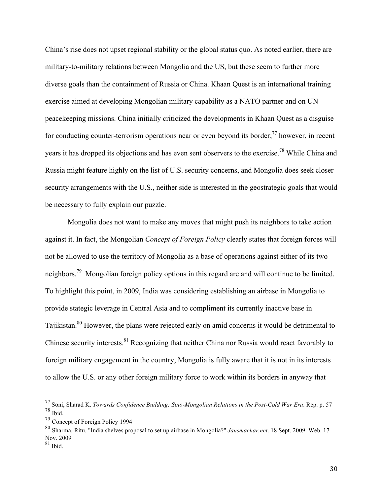China's rise does not upset regional stability or the global status quo. As noted earlier, there are military-to-military relations between Mongolia and the US, but these seem to further more diverse goals than the containment of Russia or China. Khaan Quest is an international training exercise aimed at developing Mongolian military capability as a NATO partner and on UN peacekeeping missions. China initially criticized the developments in Khaan Quest as a disguise for conducting counter-terrorism operations near or even beyond its border; $^{77}$  however, in recent years it has dropped its objections and has even sent observers to the exercise.<sup>78</sup> While China and Russia might feature highly on the list of U.S. security concerns, and Mongolia does seek closer security arrangements with the U.S., neither side is interested in the geostrategic goals that would be necessary to fully explain our puzzle.

Mongolia does not want to make any moves that might push its neighbors to take action against it. In fact, the Mongolian *Concept of Foreign Policy* clearly states that foreign forces will not be allowed to use the territory of Mongolia as a base of operations against either of its two neighbors.<sup>79</sup> Mongolian foreign policy options in this regard are and will continue to be limited. To highlight this point, in 2009, India was considering establishing an airbase in Mongolia to provide stategic leverage in Central Asia and to compliment its currently inactive base in Tajikistan.<sup>80</sup> However, the plans were rejected early on amid concerns it would be detrimental to Chinese security interests.<sup>81</sup> Recognizing that neither China nor Russia would react favorably to foreign military engagement in the country, Mongolia is fully aware that it is not in its interests to allow the U.S. or any other foreign military force to work within its borders in anyway that

 <sup>77</sup> Soni, Sharad K. *Towards Confidence Building: Sino-Mongolian Relations in the Post-Cold War Era*. Rep. p. 57 <sup>78</sup> Ibid.

<sup>79</sup> Concept of Foreign Policy 1994

<sup>80</sup> Sharma, Ritu. "India shelves proposal to set up airbase in Mongolia?" *Jansmachar.net*. 18 Sept. 2009. Web. 17 Nov. 2009

 $81$  Ibid.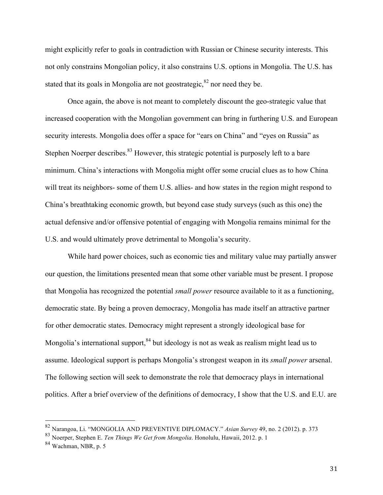might explicitly refer to goals in contradiction with Russian or Chinese security interests. This not only constrains Mongolian policy, it also constrains U.S. options in Mongolia. The U.S. has stated that its goals in Mongolia are not geostrategic, ${}^{82}$  nor need they be.

Once again, the above is not meant to completely discount the geo-strategic value that increased cooperation with the Mongolian government can bring in furthering U.S. and European security interests. Mongolia does offer a space for "ears on China" and "eyes on Russia" as Stephen Noerper describes.<sup>83</sup> However, this strategic potential is purposely left to a bare minimum. China's interactions with Mongolia might offer some crucial clues as to how China will treat its neighbors- some of them U.S. allies- and how states in the region might respond to China's breathtaking economic growth, but beyond case study surveys (such as this one) the actual defensive and/or offensive potential of engaging with Mongolia remains minimal for the U.S. and would ultimately prove detrimental to Mongolia's security.

While hard power choices, such as economic ties and military value may partially answer our question, the limitations presented mean that some other variable must be present. I propose that Mongolia has recognized the potential *small power* resource available to it as a functioning, democratic state. By being a proven democracy, Mongolia has made itself an attractive partner for other democratic states. Democracy might represent a strongly ideological base for Mongolia's international support,<sup>84</sup> but ideology is not as weak as realism might lead us to assume. Ideological support is perhaps Mongolia's strongest weapon in its *small power* arsenal. The following section will seek to demonstrate the role that democracy plays in international politics. After a brief overview of the definitions of democracy, I show that the U.S. and E.U. are

 <sup>82</sup> Narangoa, Li. "MONGOLIA AND PREVENTIVE DIPLOMACY." *Asian Survey* 49, no. 2 (2012). p. 373

<sup>83</sup> Noerper, Stephen E. *Ten Things We Get from Mongolia*. Honolulu, Hawaii, 2012. p. 1

<sup>84</sup> Wachman, NBR, p. 5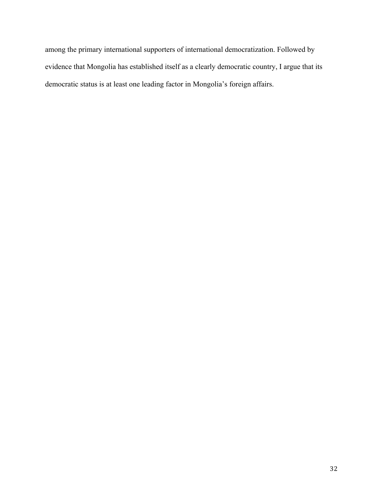among the primary international supporters of international democratization. Followed by evidence that Mongolia has established itself as a clearly democratic country, I argue that its democratic status is at least one leading factor in Mongolia's foreign affairs.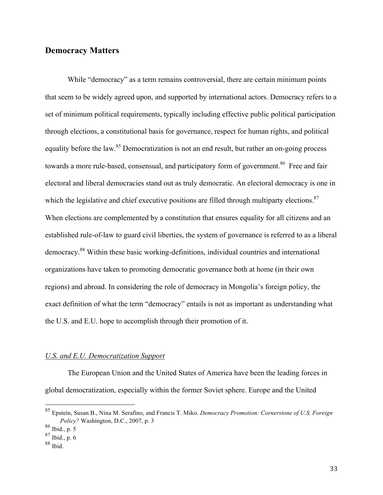### **Democracy Matters**

While "democracy" as a term remains controversial, there are certain minimum points that seem to be widely agreed upon, and supported by international actors. Democracy refers to a set of minimum political requirements, typically including effective public political participation through elections, a constitutional basis for governance, respect for human rights, and political equality before the law.<sup>85</sup> Democratization is not an end result, but rather an on-going process towards a more rule-based, consensual, and participatory form of government.<sup>86</sup> Free and fair electoral and liberal democracies stand out as truly democratic. An electoral democracy is one in which the legislative and chief executive positions are filled through multiparty elections.<sup>87</sup> When elections are complemented by a constitution that ensures equality for all citizens and an established rule-of-law to guard civil liberties, the system of governance is referred to as a liberal democracy. <sup>88</sup> Within these basic working-definitions, individual countries and international organizations have taken to promoting democratic governance both at home (in their own regions) and abroad. In considering the role of democracy in Mongolia's foreign policy, the exact definition of what the term "democracy" entails is not as important as understanding what the U.S. and E.U. hope to accomplish through their promotion of it.

### *U.S. and E.U. Democratization Support*

The European Union and the United States of America have been the leading forces in global democratization, especially within the former Soviet sphere. Europe and the United

 <sup>85</sup> Epstein, Susan B., Nina M. Serafino, and Francis T. Miko. *Democracy Promotion: Cornerstone of U.S. Foreign Policy?* Washington, D.C., 2007, p. 3

<sup>86</sup> Ibid., p. 5

 $87$  Ibid., p. 6

<sup>88</sup> Ibid.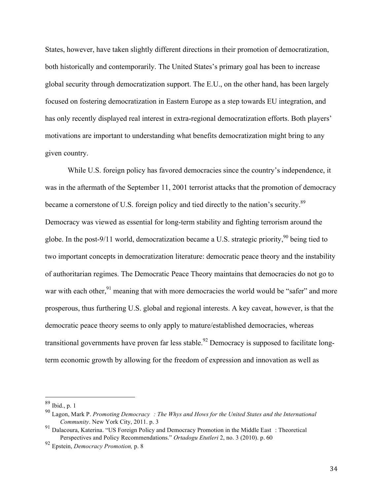States, however, have taken slightly different directions in their promotion of democratization, both historically and contemporarily. The United States's primary goal has been to increase global security through democratization support. The E.U., on the other hand, has been largely focused on fostering democratization in Eastern Europe as a step towards EU integration, and has only recently displayed real interest in extra-regional democratization efforts. Both players' motivations are important to understanding what benefits democratization might bring to any given country.

While U.S. foreign policy has favored democracies since the country's independence, it was in the aftermath of the September 11, 2001 terrorist attacks that the promotion of democracy became a cornerstone of U.S. foreign policy and tied directly to the nation's security.<sup>89</sup> Democracy was viewed as essential for long-term stability and fighting terrorism around the globe. In the post-9/11 world, democratization became a U.S. strategic priority,<sup>90</sup> being tied to two important concepts in democratization literature: democratic peace theory and the instability of authoritarian regimes. The Democratic Peace Theory maintains that democracies do not go to war with each other,<sup>91</sup> meaning that with more democracies the world would be "safer" and more prosperous, thus furthering U.S. global and regional interests. A key caveat, however, is that the democratic peace theory seems to only apply to mature/established democracies, whereas transitional governments have proven far less stable.<sup>92</sup> Democracy is supposed to facilitate longterm economic growth by allowing for the freedom of expression and innovation as well as

 <sup>89</sup> Ibid., p. 1

<sup>90</sup> Lagon, Mark P. *Promoting Democracy : The Whys and Hows for the United States and the International Community*. New York City, 2011. p. 3

<sup>&</sup>lt;sup>91</sup> Dalacoura, Katerina. "US Foreign Policy and Democracy Promotion in the Middle East : Theoretical Perspectives and Policy Recommendations." *Ortadogu Etutleri* 2, no. 3 (2010). p. 60

<sup>92</sup> Epstein, *Democracy Promotion,* p. 8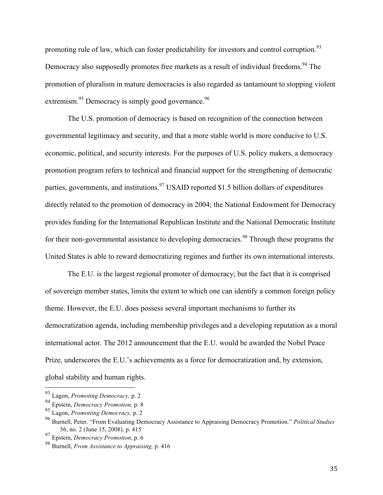promoting rule of law, which can foster predictability for investors and control corruption.<sup>93</sup> Democracy also supposedly promotes free markets as a result of individual freedoms.<sup>94</sup> The promotion of pluralism in mature democracies is also regarded as tantamount to stopping violent extremism.<sup>95</sup> Democracy is simply good governance.<sup>96</sup>

The U.S. promotion of democracy is based on recognition of the connection between governmental legitimacy and security, and that a more stable world is more conducive to U.S. economic, political, and security interests. For the purposes of U.S. policy makers, a democracy promotion program refers to technical and financial support for the strengthening of democratic parties, governments, and institutions.<sup>97</sup> USAID reported \$1.5 billion dollars of expenditures directly related to the promotion of democracy in 2004; the National Endowment for Democracy provides funding for the International Republican Institute and the National Democratic Institute for their non-governmental assistance to developing democracies.<sup>98</sup> Through these programs the United States is able to reward democratizing regimes and further its own international interests.

The E.U. is the largest regional promoter of democracy; but the fact that it is comprised of sovereign member states, limits the extent to which one can identify a common foreign policy theme. However, the E.U. does possess several important mechanisms to further its democratization agenda, including membership privileges and a developing reputation as a moral international actor. The 2012 announcement that the E.U. would be awarded the Nobel Peace Prize, underscores the E.U.'s achievements as a force for democratization and, by extension, global stability and human rights.

 <sup>93</sup> Lagon, *Promoting Democracy,* p. 2

<sup>94</sup> Epstein, *Democracy Promotion,* p. 8

<sup>95</sup> Lagon, *Promotiing Democracy,* p. 2

<sup>96</sup> Burnell, Peter. "From Evaluating Democracy Assistance to Appraising Democracy Promotion." *Political Studies* 56, no. 2 (June 15, 2008). p. 415

<sup>97</sup> Epstein, *Democracy Promotion*, p. 6

<sup>98</sup> Burnell, *From Assistance to Appraising,* p. 416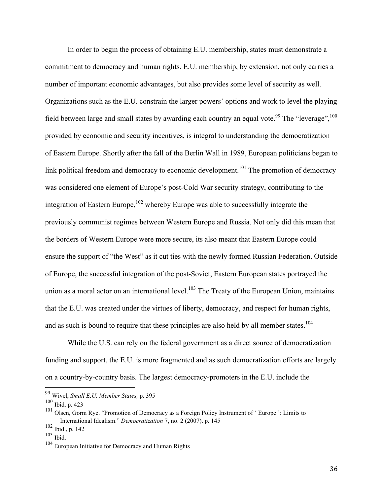In order to begin the process of obtaining E.U. membership, states must demonstrate a commitment to democracy and human rights. E.U. membership, by extension, not only carries a number of important economic advantages, but also provides some level of security as well. Organizations such as the E.U. constrain the larger powers' options and work to level the playing field between large and small states by awarding each country an equal vote.<sup>99</sup> The "leverage", <sup>100</sup> provided by economic and security incentives, is integral to understanding the democratization of Eastern Europe. Shortly after the fall of the Berlin Wall in 1989, European politicians began to link political freedom and democracy to economic development.<sup>101</sup> The promotion of democracy was considered one element of Europe's post-Cold War security strategy, contributing to the integration of Eastern Europe,  $102$  whereby Europe was able to successfully integrate the previously communist regimes between Western Europe and Russia. Not only did this mean that the borders of Western Europe were more secure, its also meant that Eastern Europe could ensure the support of "the West" as it cut ties with the newly formed Russian Federation. Outside of Europe, the successful integration of the post-Soviet, Eastern European states portrayed the union as a moral actor on an international level.<sup>103</sup> The Treaty of the European Union, maintains that the E.U. was created under the virtues of liberty, democracy, and respect for human rights, and as such is bound to require that these principles are also held by all member states.<sup>104</sup>

While the U.S. can rely on the federal government as a direct source of democratization funding and support, the E.U. is more fragmented and as such democratization efforts are largely on a country-by-country basis. The largest democracy-promoters in the E.U. include the

 <sup>99</sup> Wivel, *Small E.U. Member States,* p. 395

<sup>100</sup> Ibid. p. 423

<sup>&</sup>lt;sup>101</sup> Olsen, Gorm Rye. "Promotion of Democracy as a Foreign Policy Instrument of ' Europe ': Limits to International Idealism." *Democratization* 7, no. 2 (2007). p. 145

<sup>102</sup> Ibid., p. 142

<sup>103</sup> Ibid.

<sup>104</sup> European Initiative for Democracy and Human Rights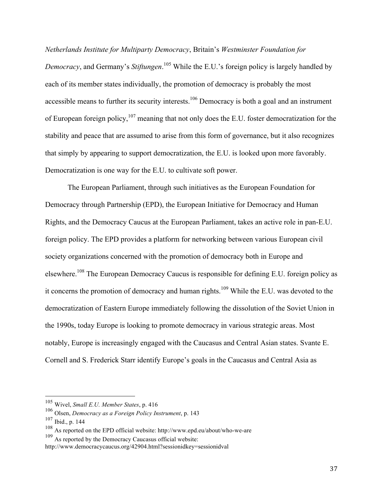*Netherlands Institute for Multiparty Democracy*, Britain's *Westminster Foundation for* 

*Democracy*, and Germany's *Stiftungen*. <sup>105</sup> While the E.U.'s foreign policy is largely handled by each of its member states individually, the promotion of democracy is probably the most accessible means to further its security interests.<sup>106</sup> Democracy is both a goal and an instrument of European foreign policy, <sup>107</sup> meaning that not only does the E.U. foster democratization for the stability and peace that are assumed to arise from this form of governance, but it also recognizes that simply by appearing to support democratization, the E.U. is looked upon more favorably. Democratization is one way for the E.U. to cultivate soft power.

The European Parliament, through such initiatives as the European Foundation for Democracy through Partnership (EPD), the European Initiative for Democracy and Human Rights, and the Democracy Caucus at the European Parliament, takes an active role in pan-E.U. foreign policy. The EPD provides a platform for networking between various European civil society organizations concerned with the promotion of democracy both in Europe and elsewhere.<sup>108</sup> The European Democracy Caucus is responsible for defining E.U. foreign policy as it concerns the promotion of democracy and human rights.<sup>109</sup> While the E.U. was devoted to the democratization of Eastern Europe immediately following the dissolution of the Soviet Union in the 1990s, today Europe is looking to promote democracy in various strategic areas. Most notably, Europe is increasingly engaged with the Caucasus and Central Asian states. Svante E. Cornell and S. Frederick Starr identify Europe's goals in the Caucasus and Central Asia as

 <sup>105</sup> Wivel, *Small E.U. Member States*, p. 416

<sup>106</sup> Olsen, *Democracy as a Foreign Policy Instrument*, p. 143

<sup>107</sup> Ibid., p. 144

<sup>108</sup> As reported on the EPD official website: http://www.epd.eu/about/who-we-are

<sup>109</sup> As reported by the Democracy Caucasus official website:

http://www.democracycaucus.org/42904.html?sessionidkey=sessionidval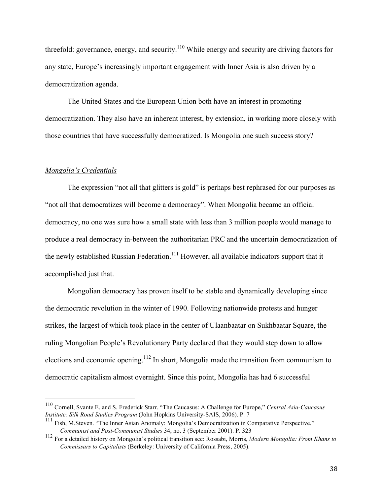threefold: governance, energy, and security.<sup>110</sup> While energy and security are driving factors for any state, Europe's increasingly important engagement with Inner Asia is also driven by a democratization agenda.

The United States and the European Union both have an interest in promoting democratization. They also have an inherent interest, by extension, in working more closely with those countries that have successfully democratized. Is Mongolia one such success story?

#### *Mongolia's Credentials*

The expression "not all that glitters is gold" is perhaps best rephrased for our purposes as "not all that democratizes will become a democracy". When Mongolia became an official democracy, no one was sure how a small state with less than 3 million people would manage to produce a real democracy in-between the authoritarian PRC and the uncertain democratization of the newly established Russian Federation.<sup>111</sup> However, all available indicators support that it accomplished just that.

Mongolian democracy has proven itself to be stable and dynamically developing since the democratic revolution in the winter of 1990. Following nationwide protests and hunger strikes, the largest of which took place in the center of Ulaanbaatar on Sukhbaatar Square, the ruling Mongolian People's Revolutionary Party declared that they would step down to allow elections and economic opening.<sup>112</sup> In short, Mongolia made the transition from communism to democratic capitalism almost overnight. Since this point, Mongolia has had 6 successful

 <sup>110</sup> Cornell, Svante E. and S. Frederick Starr. "The Caucasus: A Challenge for Europe," *Central Asia-Caucasus Institute: Silk Road Studies Program* (John Hopkins University-SAIS, 2006). P. 7

<sup>&</sup>lt;sup>111</sup> Fish, M.Steven. "The Inner Asian Anomaly: Mongolia's Democratization in Comparative Perspective." *Communist and Post-Communist Studies* 34, no. 3 (September 2001). P. 323

<sup>112</sup> For a detailed history on Mongolia's political transition see: Rossabi, Morris, *Modern Mongolia: From Khans to Commissars to Capitalists* (Berkeley: University of California Press, 2005).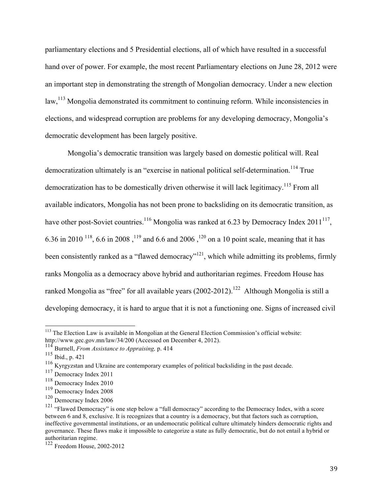parliamentary elections and 5 Presidential elections, all of which have resulted in a successful hand over of power. For example, the most recent Parliamentary elections on June 28, 2012 were an important step in demonstrating the strength of Mongolian democracy. Under a new election law, <sup>113</sup> Mongolia demonstrated its commitment to continuing reform. While inconsistencies in elections, and widespread corruption are problems for any developing democracy, Mongolia's democratic development has been largely positive.

Mongolia's democratic transition was largely based on domestic political will. Real democratization ultimately is an "exercise in national political self-determination.<sup>114</sup> True democratization has to be domestically driven otherwise it will lack legitimacy.<sup>115</sup> From all available indicators, Mongolia has not been prone to backsliding on its democratic transition, as have other post-Soviet countries.<sup>116</sup> Mongolia was ranked at 6.23 by Democracy Index 2011<sup>117</sup>, 6.36 in 2010<sup>118</sup>, 6.6 in 2008,<sup>119</sup> and 6.6 and 2006,<sup>120</sup> on a 10 point scale, meaning that it has been consistently ranked as a "flawed democracy"<sup>121</sup>, which while admitting its problems, firmly ranks Mongolia as a democracy above hybrid and authoritarian regimes. Freedom House has ranked Mongolia as "free" for all available years (2002-2012).<sup>122</sup> Although Mongolia is still a developing democracy, it is hard to argue that it is not a functioning one. Signs of increased civil

<sup>&</sup>lt;sup>113</sup> The Election Law is available in Mongolian at the General Election Commission's official website: http://www.gec.gov.mn/law/34/200 (Accessed on December 4, 2012).

<sup>114</sup> Burnell, *From Assistance to Appraising,* p. 414

<sup>115</sup> Ibid., p. 421

<sup>&</sup>lt;sup>116</sup> Kyrgyzstan and Ukraine are contemporary examples of political backsliding in the past decade.

<sup>&</sup>lt;sup>117</sup> Democracy Index 2011

<sup>118</sup> Democracy Index 2010

<sup>119</sup> Democracy Index 2008

<sup>120</sup> Democracy Index 2006

<sup>&</sup>lt;sup>121</sup> "Flawed Democracy" is one step below a "full democracy" according to the Democracy Index, with a score between 6 and 8, exclusive. It is recognizes that a country is a democracy, but that factors such as corruption, ineffective governmental institutions, or an undemocratic political culture ultimately hinders democratic rights and governance. These flaws make it impossible to categorize a state as fully democratic, but do not entail a hybrid or authoritarian regime.

<sup>122</sup> Freedom House, 2002-2012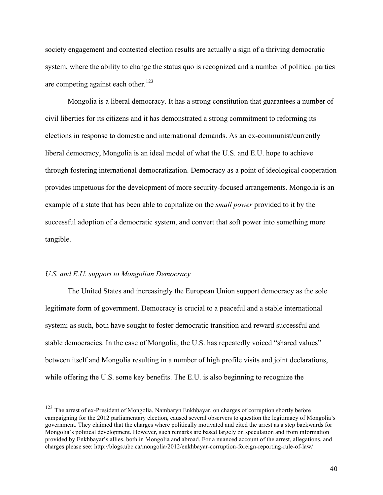society engagement and contested election results are actually a sign of a thriving democratic system, where the ability to change the status quo is recognized and a number of political parties are competing against each other.<sup>123</sup>

Mongolia is a liberal democracy. It has a strong constitution that guarantees a number of civil liberties for its citizens and it has demonstrated a strong commitment to reforming its elections in response to domestic and international demands. As an ex-communist/currently liberal democracy, Mongolia is an ideal model of what the U.S. and E.U. hope to achieve through fostering international democratization. Democracy as a point of ideological cooperation provides impetuous for the development of more security-focused arrangements. Mongolia is an example of a state that has been able to capitalize on the *small power* provided to it by the successful adoption of a democratic system, and convert that soft power into something more tangible.

#### *U.S. and E.U. support to Mongolian Democracy*

The United States and increasingly the European Union support democracy as the sole legitimate form of government. Democracy is crucial to a peaceful and a stable international system; as such, both have sought to foster democratic transition and reward successful and stable democracies. In the case of Mongolia, the U.S. has repeatedly voiced "shared values" between itself and Mongolia resulting in a number of high profile visits and joint declarations, while offering the U.S. some key benefits. The E.U. is also beginning to recognize the

<sup>&</sup>lt;sup>123</sup> The arrest of ex-President of Mongolia, Nambaryn Enkhbayar, on charges of corruption shortly before campaigning for the 2012 parliamentary election, caused several observers to question the legitimacy of Mongolia's government. They claimed that the charges where politically motivated and cited the arrest as a step backwards for Mongolia's political development. However, such remarks are based largely on speculation and from information provided by Enkhbayar's allies, both in Mongolia and abroad. For a nuanced account of the arrest, allegations, and charges please see: http://blogs.ubc.ca/mongolia/2012/enkhbayar-corruption-foreign-reporting-rule-of-law/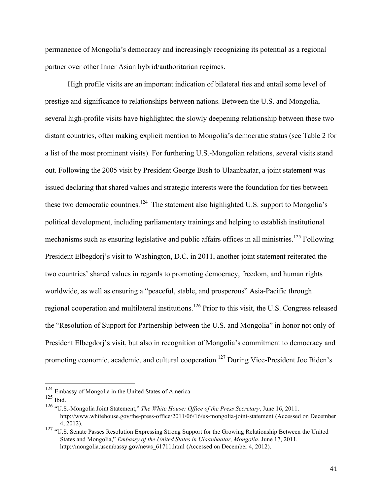permanence of Mongolia's democracy and increasingly recognizing its potential as a regional partner over other Inner Asian hybrid/authoritarian regimes.

High profile visits are an important indication of bilateral ties and entail some level of prestige and significance to relationships between nations. Between the U.S. and Mongolia, several high-profile visits have highlighted the slowly deepening relationship between these two distant countries, often making explicit mention to Mongolia's democratic status (see Table 2 for a list of the most prominent visits). For furthering U.S.-Mongolian relations, several visits stand out. Following the 2005 visit by President George Bush to Ulaanbaatar, a joint statement was issued declaring that shared values and strategic interests were the foundation for ties between these two democratic countries.<sup>124</sup> The statement also highlighted U.S. support to Mongolia's political development, including parliamentary trainings and helping to establish institutional mechanisms such as ensuring legislative and public affairs offices in all ministries.<sup>125</sup> Following President Elbegdorj's visit to Washington, D.C. in 2011, another joint statement reiterated the two countries' shared values in regards to promoting democracy, freedom, and human rights worldwide, as well as ensuring a "peaceful, stable, and prosperous" Asia-Pacific through regional cooperation and multilateral institutions.<sup>126</sup> Prior to this visit, the U.S. Congress released the "Resolution of Support for Partnership between the U.S. and Mongolia" in honor not only of President Elbegdorj's visit, but also in recognition of Mongolia's commitment to democracy and promoting economic, academic, and cultural cooperation.<sup>127</sup> During Vice-President Joe Biden's

 <sup>124</sup> Embassy of Mongolia in the United States of America

<sup>125</sup> Ibid.

<sup>126</sup> "U.S.-Mongolia Joint Statement," *The White House: Office of the Press Secretary*, June 16, 2011. http://www.whitehouse.gov/the-press-office/2011/06/16/us-mongolia-joint-statement (Accessed on December 4, 2012).

<sup>127 &</sup>quot;U.S. Senate Passes Resolution Expressing Strong Support for the Growing Relationship Between the United States and Mongolia," *Embassy of the United States in Ulaanbaatar, Mongolia*, June 17, 2011. http://mongolia.usembassy.gov/news\_61711.html (Accessed on December 4, 2012).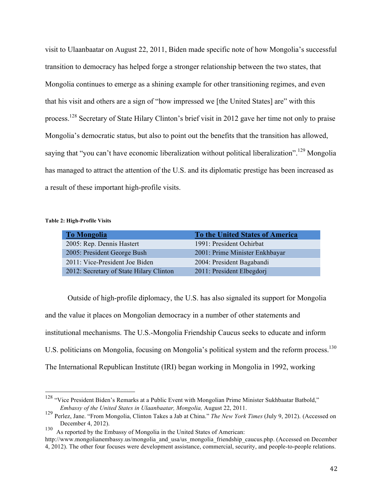visit to Ulaanbaatar on August 22, 2011, Biden made specific note of how Mongolia's successful transition to democracy has helped forge a stronger relationship between the two states, that Mongolia continues to emerge as a shining example for other transitioning regimes, and even that his visit and others are a sign of "how impressed we [the United States] are" with this process.<sup>128</sup> Secretary of State Hilary Clinton's brief visit in 2012 gave her time not only to praise Mongolia's democratic status, but also to point out the benefits that the transition has allowed, saying that "you can't have economic liberalization without political liberalization".<sup>129</sup> Mongolia has managed to attract the attention of the U.S. and its diplomatic prestige has been increased as a result of these important high-profile visits.

#### **Table 2: High-Profile Visits**

| <b>To Mongolia</b>                      | To the United States of America |
|-----------------------------------------|---------------------------------|
| 2005: Rep. Dennis Hastert               | 1991: President Ochirbat        |
| 2005: President George Bush             | 2001: Prime Minister Enkhbayar  |
| 2011: Vice-President Joe Biden          | 2004: President Bagabandi       |
| 2012: Secretary of State Hilary Clinton | 2011: President Elbegdorj       |

Outside of high-profile diplomacy, the U.S. has also signaled its support for Mongolia and the value it places on Mongolian democracy in a number of other statements and institutional mechanisms. The U.S.-Mongolia Friendship Caucus seeks to educate and inform U.S. politicians on Mongolia, focusing on Mongolia's political system and the reform process.<sup>130</sup> The International Republican Institute (IRI) began working in Mongolia in 1992, working

<sup>&</sup>lt;sup>128</sup> "Vice President Biden's Remarks at a Public Event with Mongolian Prime Minister Sukhbaatar Batbold," *Embassy of the United States in Ulaanbaatar, Mongolia,* August 22, 2011.

<sup>129</sup> Perlez, Jane. "From Mongolia, Clinton Takes a Jab at China." *The New York Times* (July 9, 2012). (Accessed on December 4, 2012).

<sup>130</sup> As reported by the Embassy of Mongolia in the United States of American:

http://www.mongolianembassy.us/mongolia and usa/us mongolia friendship caucus.php. (Accessed on December 4, 2012). The other four focuses were development assistance, commercial, security, and people-to-people relations.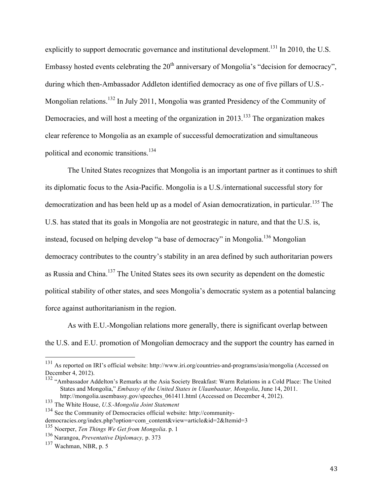explicitly to support democratic governance and institutional development.<sup>131</sup> In 2010, the U.S. Embassy hosted events celebrating the  $20<sup>th</sup>$  anniversary of Mongolia's "decision for democracy", during which then-Ambassador Addleton identified democracy as one of five pillars of U.S.- Mongolian relations.<sup>132</sup> In July 2011, Mongolia was granted Presidency of the Community of Democracies, and will host a meeting of the organization in 2013.<sup>133</sup> The organization makes clear reference to Mongolia as an example of successful democratization and simultaneous political and economic transitions. 134

The United States recognizes that Mongolia is an important partner as it continues to shift its diplomatic focus to the Asia-Pacific. Mongolia is a U.S./international successful story for democratization and has been held up as a model of Asian democratization, in particular.<sup>135</sup> The U.S. has stated that its goals in Mongolia are not geostrategic in nature, and that the U.S. is, instead, focused on helping develop "a base of democracy" in Mongolia.<sup>136</sup> Mongolian democracy contributes to the country's stability in an area defined by such authoritarian powers as Russia and China.<sup>137</sup> The United States sees its own security as dependent on the domestic political stability of other states, and sees Mongolia's democratic system as a potential balancing force against authoritarianism in the region.

As with E.U.-Mongolian relations more generally, there is significant overlap between the U.S. and E.U. promotion of Mongolian democracy and the support the country has earned in

 <sup>131</sup> As reported on IRI's official website: http://www.iri.org/countries-and-programs/asia/mongolia (Accessed on December 4, 2012).

<sup>&</sup>lt;sup>132</sup> "Ambassador Addelton's Remarks at the Asia Society Breakfast: Warm Relations in a Cold Place: The United States and Mongolia," *Embassy of the United States in Ulaanbaatar, Mongolia*, June 14, 2011. http://mongolia.usembassy.gov/speeches\_061411.html (Accessed on December 4, 2012).

<sup>133</sup> The White House, *U.S.-Mongolia Joint Statement*

 $134$  See the Community of Democracies official website: http://community-

democracies.org/index.php?option=com\_content&view=article&id=2&Itemid=3

<sup>135</sup> Noerper, *Ten Things We Get from Mongolia*. p. 1

<sup>136</sup> Narangoa, *Preventative Diplomacy,* p. 373

<sup>137</sup> Wachman, NBR, p. 5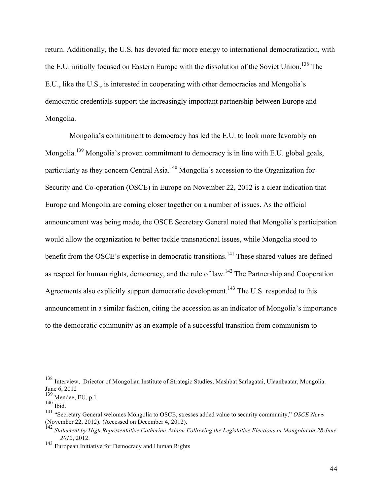return. Additionally, the U.S. has devoted far more energy to international democratization, with the E.U. initially focused on Eastern Europe with the dissolution of the Soviet Union. 138 The E.U., like the U.S., is interested in cooperating with other democracies and Mongolia's democratic credentials support the increasingly important partnership between Europe and Mongolia.

Mongolia's commitment to democracy has led the E.U. to look more favorably on Mongolia.<sup>139</sup> Mongolia's proven commitment to democracy is in line with E.U. global goals, particularly as they concern Central Asia.<sup>140</sup> Mongolia's accession to the Organization for Security and Co-operation (OSCE) in Europe on November 22, 2012 is a clear indication that Europe and Mongolia are coming closer together on a number of issues. As the official announcement was being made, the OSCE Secretary General noted that Mongolia's participation would allow the organization to better tackle transnational issues, while Mongolia stood to benefit from the OSCE's expertise in democratic transitions.<sup>141</sup> These shared values are defined as respect for human rights, democracy, and the rule of law.  $142$  The Partnership and Cooperation Agreements also explicitly support democratic development.<sup>143</sup> The U.S. responded to this announcement in a similar fashion, citing the accession as an indicator of Mongolia's importance to the democratic community as an example of a successful transition from communism to

 <sup>138</sup> Interview, Driector of Mongolian Institute of Strategic Studies, Mashbat Sarlagatai, Ulaanbaatar, Mongolia. June 6, 2012

 $^{139}$  Mendee, EU, p.1

<sup>140</sup> Ibid.

<sup>141</sup> "Secretary General welomes Mongolia to OSCE, stresses added value to security community," *OSCE News*  (November 22, 2012). (Accessed on December 4, 2012).

<sup>142</sup> *Statement by High Representative Catherine Ashton Following the Legislative Elections in Mongolia on 28 June 2012*, 2012.

<sup>143</sup> European Initiative for Democracy and Human Rights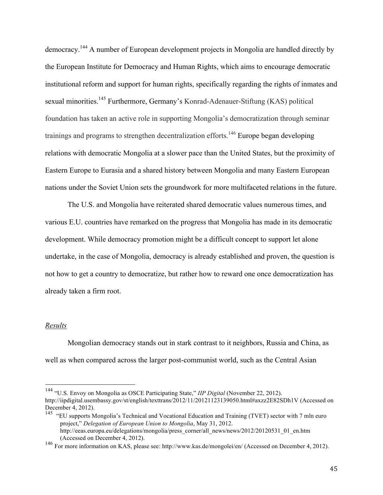democracy.<sup>144</sup> A number of European development projects in Mongolia are handled directly by the European Institute for Democracy and Human Rights, which aims to encourage democratic institutional reform and support for human rights, specifically regarding the rights of inmates and sexual minorities.<sup>145</sup> Furthermore, Germany's Konrad-Adenauer-Stiftung (KAS) political foundation has taken an active role in supporting Mongolia's democratization through seminar trainings and programs to strengthen decentralization efforts.<sup>146</sup> Europe began developing relations with democratic Mongolia at a slower pace than the United States, but the proximity of Eastern Europe to Eurasia and a shared history between Mongolia and many Eastern European nations under the Soviet Union sets the groundwork for more multifaceted relations in the future.

The U.S. and Mongolia have reiterated shared democratic values numerous times, and various E.U. countries have remarked on the progress that Mongolia has made in its democratic development. While democracy promotion might be a difficult concept to support let alone undertake, in the case of Mongolia, democracy is already established and proven, the question is not how to get a country to democratize, but rather how to reward one once democratization has already taken a firm root.

#### *Results*

Mongolian democracy stands out in stark contrast to it neighbors, Russia and China, as well as when compared across the larger post-communist world, such as the Central Asian

 <sup>144</sup> "U.S. Envoy on Mongolia as OSCE Participating State," *IIP Digital* (November 22, 2012). http://iipdigital.usembassy.gov/st/english/texttrans/2012/11/20121123139050.html#axzz2E82SDh1V (Accessed on December 4, 2012).

<sup>145 &</sup>quot;EU supports Mongolia's Technical and Vocational Education and Training (TVET) sector with 7 mln euro project," *Delegation of European Union to Mongolia*, May 31, 2012. http://eeas.europa.eu/delegations/mongolia/press\_corner/all\_news/news/2012/20120531\_01\_en.htm (Accessed on December 4, 2012).

<sup>146</sup> For more information on KAS, please see: http://www.kas.de/mongolei/en/ (Accessed on December 4, 2012).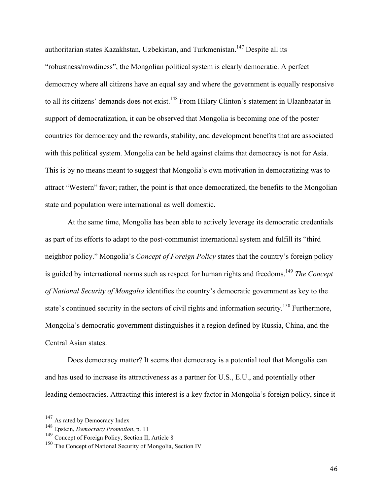authoritarian states Kazakhstan, Uzbekistan, and Turkmenistan.<sup>147</sup> Despite all its "robustness/rowdiness", the Mongolian political system is clearly democratic. A perfect democracy where all citizens have an equal say and where the government is equally responsive to all its citizens' demands does not exist.<sup>148</sup> From Hilary Clinton's statement in Ulaanbaatar in support of democratization, it can be observed that Mongolia is becoming one of the poster countries for democracy and the rewards, stability, and development benefits that are associated with this political system. Mongolia can be held against claims that democracy is not for Asia. This is by no means meant to suggest that Mongolia's own motivation in democratizing was to attract "Western" favor; rather, the point is that once democratized, the benefits to the Mongolian state and population were international as well domestic.

At the same time, Mongolia has been able to actively leverage its democratic credentials as part of its efforts to adapt to the post-communist international system and fulfill its "third neighbor policy." Mongolia's *Concept of Foreign Policy* states that the country's foreign policy is guided by international norms such as respect for human rights and freedoms. <sup>149</sup> *The Concept of National Security of Mongolia* identifies the country's democratic government as key to the state's continued security in the sectors of civil rights and information security.<sup>150</sup> Furthermore, Mongolia's democratic government distinguishes it a region defined by Russia, China, and the Central Asian states.

Does democracy matter? It seems that democracy is a potential tool that Mongolia can and has used to increase its attractiveness as a partner for U.S., E.U., and potentially other leading democracies. Attracting this interest is a key factor in Mongolia's foreign policy, since it

 <sup>147</sup> As rated by Democracy Index

<sup>148</sup> Epstein, *Democracy Promotion*, p. 11

<sup>149</sup> Concept of Foreign Policy, Section II, Article 8

<sup>&</sup>lt;sup>150</sup> The Concept of National Security of Mongolia, Section IV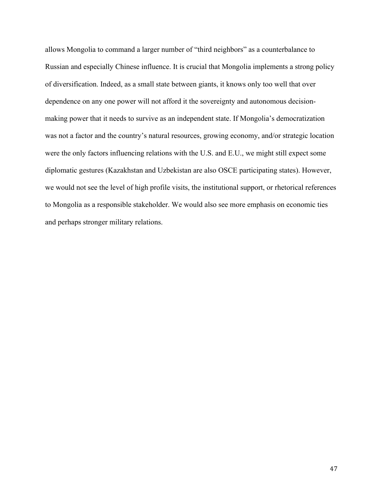allows Mongolia to command a larger number of "third neighbors" as a counterbalance to Russian and especially Chinese influence. It is crucial that Mongolia implements a strong policy of diversification. Indeed, as a small state between giants, it knows only too well that over dependence on any one power will not afford it the sovereignty and autonomous decisionmaking power that it needs to survive as an independent state. If Mongolia's democratization was not a factor and the country's natural resources, growing economy, and/or strategic location were the only factors influencing relations with the U.S. and E.U., we might still expect some diplomatic gestures (Kazakhstan and Uzbekistan are also OSCE participating states). However, we would not see the level of high profile visits, the institutional support, or rhetorical references to Mongolia as a responsible stakeholder. We would also see more emphasis on economic ties and perhaps stronger military relations.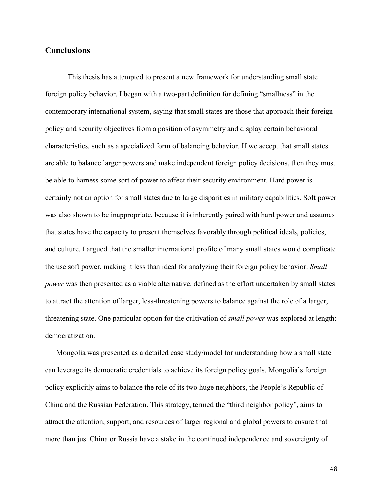### **Conclusions**

This thesis has attempted to present a new framework for understanding small state foreign policy behavior. I began with a two-part definition for defining "smallness" in the contemporary international system, saying that small states are those that approach their foreign policy and security objectives from a position of asymmetry and display certain behavioral characteristics, such as a specialized form of balancing behavior. If we accept that small states are able to balance larger powers and make independent foreign policy decisions, then they must be able to harness some sort of power to affect their security environment. Hard power is certainly not an option for small states due to large disparities in military capabilities. Soft power was also shown to be inappropriate, because it is inherently paired with hard power and assumes that states have the capacity to present themselves favorably through political ideals, policies, and culture. I argued that the smaller international profile of many small states would complicate the use soft power, making it less than ideal for analyzing their foreign policy behavior. *Small power* was then presented as a viable alternative, defined as the effort undertaken by small states to attract the attention of larger, less-threatening powers to balance against the role of a larger, threatening state. One particular option for the cultivation of *small power* was explored at length: democratization.

Mongolia was presented as a detailed case study/model for understanding how a small state can leverage its democratic credentials to achieve its foreign policy goals. Mongolia's foreign policy explicitly aims to balance the role of its two huge neighbors, the People's Republic of China and the Russian Federation. This strategy, termed the "third neighbor policy", aims to attract the attention, support, and resources of larger regional and global powers to ensure that more than just China or Russia have a stake in the continued independence and sovereignty of

48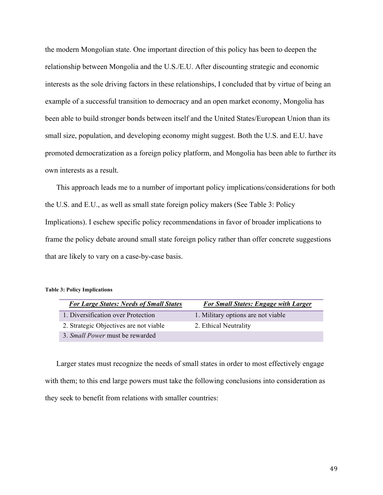the modern Mongolian state. One important direction of this policy has been to deepen the relationship between Mongolia and the U.S./E.U. After discounting strategic and economic interests as the sole driving factors in these relationships, I concluded that by virtue of being an example of a successful transition to democracy and an open market economy, Mongolia has been able to build stronger bonds between itself and the United States/European Union than its small size, population, and developing economy might suggest. Both the U.S. and E.U. have promoted democratization as a foreign policy platform, and Mongolia has been able to further its own interests as a result.

This approach leads me to a number of important policy implications/considerations for both the U.S. and E.U., as well as small state foreign policy makers (See Table 3: Policy Implications). I eschew specific policy recommendations in favor of broader implications to frame the policy debate around small state foreign policy rather than offer concrete suggestions that are likely to vary on a case-by-case basis.

#### **Table 3: Policy Implications**

| <b>For Large States: Needs of Small States</b> | <b>For Small States: Engage with Larger</b> |
|------------------------------------------------|---------------------------------------------|
| 1. Diversification over Protection             | 1. Military options are not viable          |
| 2. Strategic Objectives are not viable         | 2. Ethical Neutrality                       |
| 3. <i>Small Power</i> must be rewarded         |                                             |

Larger states must recognize the needs of small states in order to most effectively engage with them; to this end large powers must take the following conclusions into consideration as they seek to benefit from relations with smaller countries: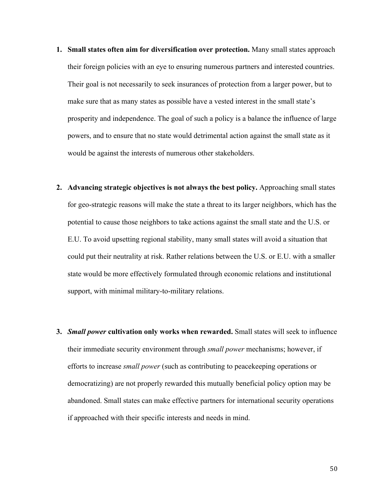- **1. Small states often aim for diversification over protection.** Many small states approach their foreign policies with an eye to ensuring numerous partners and interested countries. Their goal is not necessarily to seek insurances of protection from a larger power, but to make sure that as many states as possible have a vested interest in the small state's prosperity and independence. The goal of such a policy is a balance the influence of large powers, and to ensure that no state would detrimental action against the small state as it would be against the interests of numerous other stakeholders.
- **2. Advancing strategic objectives is not always the best policy.** Approaching small states for geo-strategic reasons will make the state a threat to its larger neighbors, which has the potential to cause those neighbors to take actions against the small state and the U.S. or E.U. To avoid upsetting regional stability, many small states will avoid a situation that could put their neutrality at risk. Rather relations between the U.S. or E.U. with a smaller state would be more effectively formulated through economic relations and institutional support, with minimal military-to-military relations.
- **3.** *Small power* **cultivation only works when rewarded.** Small states will seek to influence their immediate security environment through *small power* mechanisms; however, if efforts to increase *small power* (such as contributing to peacekeeping operations or democratizing) are not properly rewarded this mutually beneficial policy option may be abandoned. Small states can make effective partners for international security operations if approached with their specific interests and needs in mind.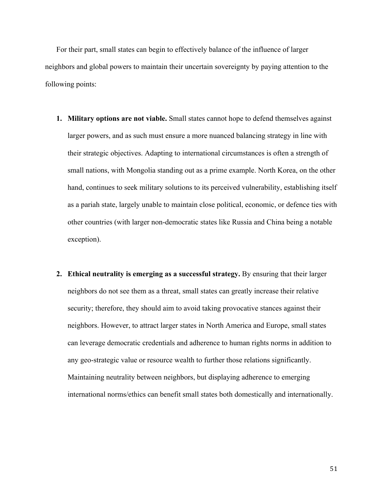For their part, small states can begin to effectively balance of the influence of larger neighbors and global powers to maintain their uncertain sovereignty by paying attention to the following points:

- **1. Military options are not viable.** Small states cannot hope to defend themselves against larger powers, and as such must ensure a more nuanced balancing strategy in line with their strategic objectives. Adapting to international circumstances is often a strength of small nations, with Mongolia standing out as a prime example. North Korea, on the other hand, continues to seek military solutions to its perceived vulnerability, establishing itself as a pariah state, largely unable to maintain close political, economic, or defence ties with other countries (with larger non-democratic states like Russia and China being a notable exception).
- **2. Ethical neutrality is emerging as a successful strategy.** By ensuring that their larger neighbors do not see them as a threat, small states can greatly increase their relative security; therefore, they should aim to avoid taking provocative stances against their neighbors. However, to attract larger states in North America and Europe, small states can leverage democratic credentials and adherence to human rights norms in addition to any geo-strategic value or resource wealth to further those relations significantly. Maintaining neutrality between neighbors, but displaying adherence to emerging international norms/ethics can benefit small states both domestically and internationally.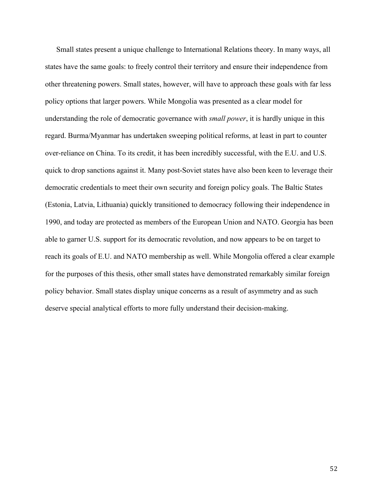Small states present a unique challenge to International Relations theory. In many ways, all states have the same goals: to freely control their territory and ensure their independence from other threatening powers. Small states, however, will have to approach these goals with far less policy options that larger powers. While Mongolia was presented as a clear model for understanding the role of democratic governance with *small power*, it is hardly unique in this regard. Burma/Myanmar has undertaken sweeping political reforms, at least in part to counter over-reliance on China. To its credit, it has been incredibly successful, with the E.U. and U.S. quick to drop sanctions against it. Many post-Soviet states have also been keen to leverage their democratic credentials to meet their own security and foreign policy goals. The Baltic States (Estonia, Latvia, Lithuania) quickly transitioned to democracy following their independence in 1990, and today are protected as members of the European Union and NATO. Georgia has been able to garner U.S. support for its democratic revolution, and now appears to be on target to reach its goals of E.U. and NATO membership as well. While Mongolia offered a clear example for the purposes of this thesis, other small states have demonstrated remarkably similar foreign policy behavior. Small states display unique concerns as a result of asymmetry and as such deserve special analytical efforts to more fully understand their decision-making.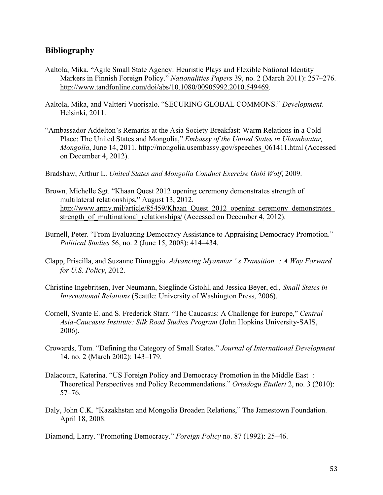### **Bibliography**

- Aaltola, Mika. "Agile Small State Agency: Heuristic Plays and Flexible National Identity Markers in Finnish Foreign Policy." *Nationalities Papers* 39, no. 2 (March 2011): 257–276. http://www.tandfonline.com/doi/abs/10.1080/00905992.2010.549469.
- Aaltola, Mika, and Valtteri Vuorisalo. "SECURING GLOBAL COMMONS." *Development*. Helsinki, 2011.
- "Ambassador Addelton's Remarks at the Asia Society Breakfast: Warm Relations in a Cold Place: The United States and Mongolia," *Embassy of the United States in Ulaanbaatar, Mongolia*, June 14, 2011. http://mongolia.usembassy.gov/speeches 061411.html (Accessed on December 4, 2012).
- Bradshaw, Arthur L. *United States and Mongolia Conduct Exercise Gobi Wolf*, 2009.
- Brown, Michelle Sgt. "Khaan Quest 2012 opening ceremony demonstrates strength of multilateral relationships," August 13, 2012. http://www.army.mil/article/85459/Khaan\_Quest\_2012\_opening\_ceremony\_demonstrates\_ strength of multinational relationships/ (Accessed on December 4, 2012).
- Burnell, Peter. "From Evaluating Democracy Assistance to Appraising Democracy Promotion." *Political Studies* 56, no. 2 (June 15, 2008): 414–434.
- Clapp, Priscilla, and Suzanne Dimaggio. *Advancing Myanmar ' s Transition : A Way Forward for U.S. Policy*, 2012.
- Christine Ingebritsen, Iver Neumann, Sieglinde Gstohl, and Jessica Beyer, ed., *Small States in International Relations* (Seattle: University of Washington Press, 2006).
- Cornell, Svante E. and S. Frederick Starr. "The Caucasus: A Challenge for Europe," *Central Asia-Caucasus Institute: Silk Road Studies Program* (John Hopkins University-SAIS, 2006).
- Crowards, Tom. "Defining the Category of Small States." *Journal of International Development* 14, no. 2 (March 2002): 143–179.
- Dalacoura, Katerina. "US Foreign Policy and Democracy Promotion in the Middle East : Theoretical Perspectives and Policy Recommendations." *Ortadogu Etutleri* 2, no. 3 (2010): 57–76.
- Daly, John C.K. "Kazakhstan and Mongolia Broaden Relations," The Jamestown Foundation. April 18, 2008.

Diamond, Larry. "Promoting Democracy." *Foreign Policy* no. 87 (1992): 25–46.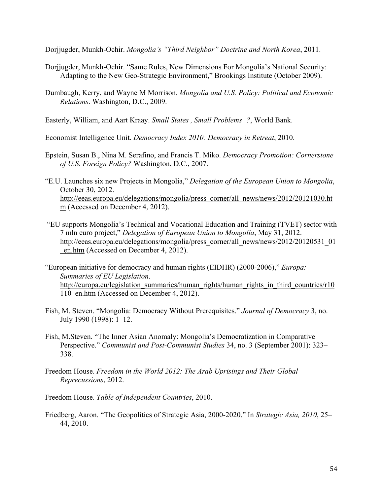Dorjjugder, Munkh-Ochir. *Mongolia's "Third Neighbor" Doctrine and North Korea*, 2011.

- Dorjjugder, Munkh-Ochir. "Same Rules, New Dimensions For Mongolia's National Security: Adapting to the New Geo-Strategic Environment," Brookings Institute (October 2009).
- Dumbaugh, Kerry, and Wayne M Morrison. *Mongolia and U.S. Policy: Political and Economic Relations*. Washington, D.C., 2009.
- Easterly, William, and Aart Kraay. *Small States , Small Problems ?*, World Bank.

Economist Intelligence Unit. *Democracy Index 2010: Democracy in Retreat*, 2010.

- Epstein, Susan B., Nina M. Serafino, and Francis T. Miko. *Democracy Promotion: Cornerstone of U.S. Foreign Policy?* Washington, D.C., 2007.
- "E.U. Launches six new Projects in Mongolia," *Delegation of the European Union to Mongolia*, October 30, 2012. http://eeas.europa.eu/delegations/mongolia/press\_corner/all\_news/news/2012/20121030.ht m (Accessed on December 4, 2012).
- "EU supports Mongolia's Technical and Vocational Education and Training (TVET) sector with 7 mln euro project," *Delegation of European Union to Mongolia*, May 31, 2012. http://eeas.europa.eu/delegations/mongolia/press\_corner/all\_news/news/2012/20120531\_01 \_en.htm (Accessed on December 4, 2012).
- "European initiative for democracy and human rights (EIDHR) (2000-2006)," *Europa: Summaries of EU Legislation*. http://europa.eu/legislation\_summaries/human\_rights/human\_rights\_in\_third\_countries/r10 110 en.htm (Accessed on December 4, 2012).
- Fish, M. Steven. "Mongolia: Democracy Without Prerequisites." *Journal of Democracy* 3, no. July 1990 (1998): 1–12.
- Fish, M.Steven. "The Inner Asian Anomaly: Mongolia's Democratization in Comparative Perspective." *Communist and Post-Communist Studies* 34, no. 3 (September 2001): 323– 338.
- Freedom House. *Freedom in the World 2012: The Arab Uprisings and Their Global Reprecussions*, 2012.
- Freedom House. *Table of Independent Countries*, 2010.
- Friedberg, Aaron. "The Geopolitics of Strategic Asia, 2000-2020." In *Strategic Asia, 2010*, 25– 44, 2010.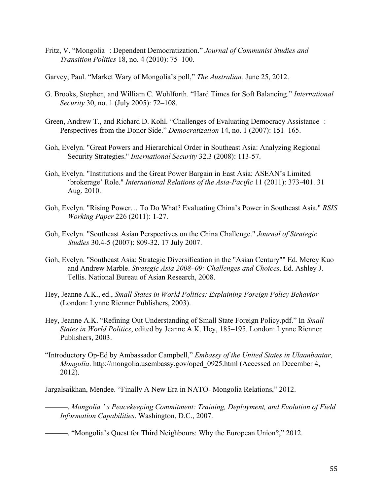- Fritz, V. "Mongolia : Dependent Democratization." *Journal of Communist Studies and Transition Politics* 18, no. 4 (2010): 75–100.
- Garvey, Paul. "Market Wary of Mongolia's poll," *The Australian.* June 25, 2012.
- G. Brooks, Stephen, and William C. Wohlforth. "Hard Times for Soft Balancing." *International Security* 30, no. 1 (July 2005): 72–108.
- Green, Andrew T., and Richard D. Kohl. "Challenges of Evaluating Democracy Assistance : Perspectives from the Donor Side." *Democratization* 14, no. 1 (2007): 151–165.
- Goh, Evelyn. "Great Powers and Hierarchical Order in Southeast Asia: Analyzing Regional Security Strategies." *International Security* 32.3 (2008): 113-57.
- Goh, Evelyn. "Institutions and the Great Power Bargain in East Asia: ASEAN's Limited 'brokerage' Role." *International Relations of the Asia-Pacific* 11 (2011): 373-401. 31 Aug. 2010.
- Goh, Evelyn. "Rising Power… To Do What? Evaluating China's Power in Southeast Asia." *RSIS Working Paper* 226 (2011): 1-27.
- Goh, Evelyn. "Southeast Asian Perspectives on the China Challenge." *Journal of Strategic Studies* 30.4-5 (2007): 809-32. 17 July 2007.
- Goh, Evelyn. "Southeast Asia: Strategic Diversification in the "Asian Century"" Ed. Mercy Kuo and Andrew Marble. *Strategic Asia 2008–09: Challenges and Choices*. Ed. Ashley J. Tellis. National Bureau of Asian Research, 2008.
- Hey, Jeanne A.K., ed., *Small States in World Politics: Explaining Foreign Policy Behavior* (London: Lynne Rienner Publishers, 2003).
- Hey, Jeanne A.K. "Refining Out Understanding of Small State Foreign Policy.pdf." In *Small States in World Politics*, edited by Jeanne A.K. Hey, 185–195. London: Lynne Rienner Publishers, 2003.
- "Introductory Op-Ed by Ambassador Campbell," *Embassy of the United States in Ulaanbaatar, Mongolia*. http://mongolia.usembassy.gov/oped\_0925.html (Accessed on December 4, 2012).

Jargalsaikhan, Mendee. "Finally A New Era in NATO- Mongolia Relations," 2012.

———. *Mongolia ' s Peacekeeping Commitment: Training, Deployment, and Evolution of Field Information Capabilities*. Washington, D.C., 2007.

———. "Mongolia's Quest for Third Neighbours: Why the European Union?," 2012.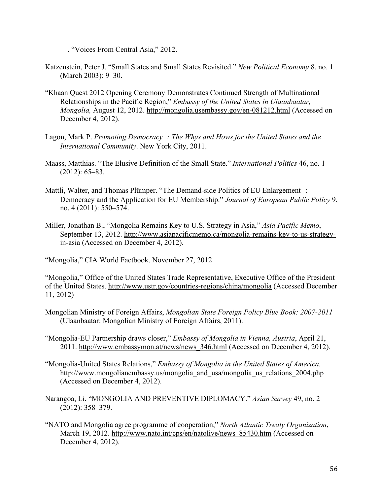———. "Voices From Central Asia," 2012.

- Katzenstein, Peter J. "Small States and Small States Revisited." *New Political Economy* 8, no. 1 (March 2003): 9–30.
- "Khaan Quest 2012 Opening Ceremony Demonstrates Continued Strength of Multinational Relationships in the Pacific Region," *Embassy of the United States in Ulaanbaatar, Mongolia,* August 12, 2012. http://mongolia.usembassy.gov/en-081212.html (Accessed on December 4, 2012).
- Lagon, Mark P. *Promoting Democracy : The Whys and Hows for the United States and the International Community*. New York City, 2011.
- Maass, Matthias. "The Elusive Definition of the Small State." *International Politics* 46, no. 1 (2012): 65–83.
- Mattli, Walter, and Thomas Plümper. "The Demand-side Politics of EU Enlargement : Democracy and the Application for EU Membership." *Journal of European Public Policy* 9, no. 4 (2011): 550–574.
- Miller, Jonathan B., "Mongolia Remains Key to U.S. Strategy in Asia," *Asia Pacific Memo*, September 13, 2012. http://www.asiapacificmemo.ca/mongolia-remains-key-to-us-strategyin-asia (Accessed on December 4, 2012).

"Mongolia," CIA World Factbook. November 27, 2012

"Mongolia," Office of the United States Trade Representative, Executive Office of the President of the United States. http://www.ustr.gov/countries-regions/china/mongolia (Accessed December 11, 2012)

- Mongolian Ministry of Foreign Affairs, *Mongolian State Foreign Policy Blue Book: 2007-2011* (Ulaanbaatar: Mongolian Ministry of Foreign Affairs, 2011).
- "Mongolia-EU Partnership draws closer," *Embassy of Mongolia in Vienna, Austria*, April 21, 2011. http://www.embassymon.at/news/news\_346.html (Accessed on December 4, 2012).
- "Mongolia-United States Relations," *Embassy of Mongolia in the United States of America.*  http://www.mongolianembassy.us/mongolia and usa/mongolia us relations 2004.php (Accessed on December 4, 2012).
- Narangoa, Li. "MONGOLIA AND PREVENTIVE DIPLOMACY." *Asian Survey* 49, no. 2 (2012): 358–379.
- "NATO and Mongolia agree programme of cooperation," *North Atlantic Treaty Organization*, March 19, 2012. http://www.nato.int/cps/en/natolive/news\_85430.htm (Accessed on December 4, 2012).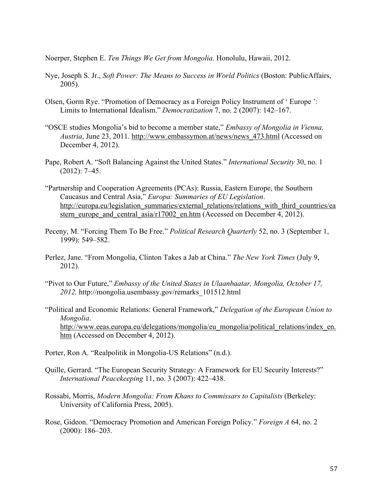Noerper, Stephen E. *Ten Things We Get from Mongolia*. Honolulu, Hawaii, 2012.

- Nye, Joseph S. Jr., *Soft Power: The Means to Success in World Politics* (Boston: PublicAffairs, 2005).
- Olsen, Gorm Rye. "Promotion of Democracy as a Foreign Policy Instrument of ' Europe ': Limits to International Idealism." *Democratization* 7, no. 2 (2007): 142–167.
- "OSCE studies Mongolia's bid to become a member state," *Embassy of Mongolia in Vienna, Austria*, June 23, 2011. http://www.embassymon.at/news/news\_473.html (Accessed on December 4, 2012).
- Pape, Robert A. "Soft Balancing Against the United States." *International Security* 30, no. 1 (2012): 7–45.
- "Partnership and Cooperation Agreements (PCAs): Russia, Eastern Europe, the Southern Caucasus and Central Asia," *Europa: Summaries of EU Legislation*. http://europa.eu/legislation\_summaries/external\_relations/relations\_with\_third\_countries/ea stern\_europe\_and\_central\_asia/r17002\_en.htm (Accessed on December 4, 2012).
- Peceny, M. "Forcing Them To Be Free." *Political Research Quarterly* 52, no. 3 (September 1, 1999): 549–582.
- Perlez, Jane. "From Mongolia, Clinton Takes a Jab at China." *The New York Times* (July 9, 2012).
- "Pivot to Our Future," *Embassy of the United States in Ulaanbaatar, Mongolia, October 17, 2012.* http://mongolia.usembassy.gov/remarks\_101512.html
- "Political and Economic Relations: General Framework," *Delegation of the European Union to Mongolia*. http://www.eeas.europa.eu/delegations/mongolia/eu\_mongolia/political\_relations/index\_en. htm (Accessed on December 4, 2012).
- Porter, Ron A. "Realpolitik in Mongolia-US Relations" (n.d.).
- Quille, Gerrard. "The European Security Strategy: A Framework for EU Security Interests?" *International Peacekeeping* 11, no. 3 (2007): 422–438.
- Rossabi, Morris, *Modern Mongolia: From Khans to Commissars to Capitalists* (Berkeley: University of California Press, 2005).
- Rose, Gideon. "Democracy Promotion and American Foreign Policy." *Foreign A* 64, no. 2 (2000): 186–203.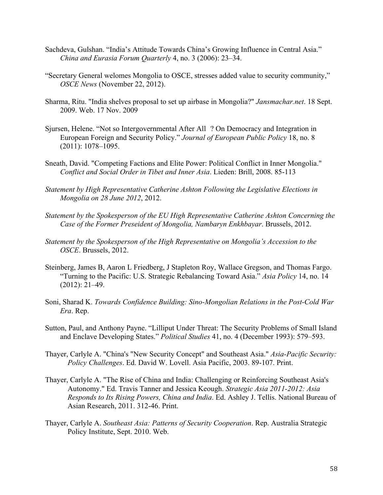- Sachdeva, Gulshan. "India's Attitude Towards China's Growing Influence in Central Asia." *China and Eurasia Forum Quarterly* 4, no. 3 (2006): 23–34.
- "Secretary General welomes Mongolia to OSCE, stresses added value to security community," *OSCE News* (November 22, 2012).
- Sharma, Ritu. "India shelves proposal to set up airbase in Mongolia?" *Jansmachar.net*. 18 Sept. 2009. Web. 17 Nov. 2009
- Sjursen, Helene. "Not so Intergovernmental After All ? On Democracy and Integration in European Foreign and Security Policy." *Journal of European Public Policy* 18, no. 8 (2011): 1078–1095.
- Sneath, David. "Competing Factions and Elite Power: Political Conflict in Inner Mongolia." *Conflict and Social Order in Tibet and Inner Asia*. Lieden: Brill, 2008. 85-113
- *Statement by High Representative Catherine Ashton Following the Legislative Elections in Mongolia on 28 June 2012*, 2012.
- *Statement by the Spokesperson of the EU High Representative Catherine Ashton Concerning the Case of the Former Preseident of Mongolia, Nambaryn Enkhbayar*. Brussels, 2012.
- *Statement by the Spokesperson of the High Representative on Mongolia's Accession to the OSCE*. Brussels, 2012.
- Steinberg, James B, Aaron L Friedberg, J Stapleton Roy, Wallace Gregson, and Thomas Fargo. "Turning to the Pacific: U.S. Strategic Rebalancing Toward Asia." *Asia Policy* 14, no. 14 (2012): 21–49.
- Soni, Sharad K. *Towards Confidence Building: Sino-Mongolian Relations in the Post-Cold War Era*. Rep.
- Sutton, Paul, and Anthony Payne. "Lilliput Under Threat: The Security Problems of Small Island and Enclave Developing States." *Political Studies* 41, no. 4 (December 1993): 579–593.
- Thayer, Carlyle A. "China's "New Security Concept" and Southeast Asia." *Asia-Pacific Security: Policy Challenges*. Ed. David W. Lovell. Asia Pacific, 2003. 89-107. Print.
- Thayer, Carlyle A. "The Rise of China and India: Challenging or Reinforcing Southeast Asia's Autonomy." Ed. Travis Tanner and Jessica Keough. *Strategic Asia 2011-2012: Asia Responds to Its Rising Powers, China and India*. Ed. Ashley J. Tellis. National Bureau of Asian Research, 2011. 312-46. Print.
- Thayer, Carlyle A. *Southeast Asia: Patterns of Security Cooperation*. Rep. Australia Strategic Policy Institute, Sept. 2010. Web.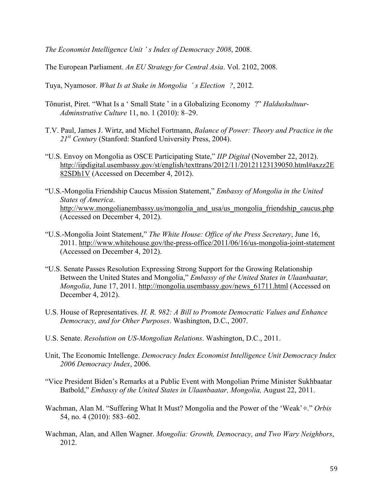*The Economist Intelligence Unit ' s Index of Democracy 2008*, 2008.

The European Parliament. *An EU Strategy for Central Asia*. Vol. 2102, 2008.

Tuya, Nyamosor. *What Is at Stake in Mongolia ' s Election ?*, 2012.

- Tõnurist, Piret. "What Is a ' Small State ' in a Globalizing Economy ?" *Halduskultuur-Adminstrative Culture* 11, no. 1 (2010): 8–29.
- T.V. Paul, James J. Wirtz, and Michel Fortmann, *Balance of Power: Theory and Practice in the 21st Century* (Stanford: Stanford University Press, 2004).
- "U.S. Envoy on Mongolia as OSCE Participating State," *IIP Digital* (November 22, 2012). http://iipdigital.usembassy.gov/st/english/texttrans/2012/11/20121123139050.html#axzz2E 82SDh1V (Accessed on December 4, 2012).
- "U.S.-Mongolia Friendship Caucus Mission Statement," *Embassy of Mongolia in the United States of America*. http://www.mongolianembassy.us/mongolia and usa/us mongolia friendship caucus.php (Accessed on December 4, 2012).
- "U.S.-Mongolia Joint Statement," *The White House: Office of the Press Secretary*, June 16, 2011. http://www.whitehouse.gov/the-press-office/2011/06/16/us-mongolia-joint-statement (Accessed on December 4, 2012).
- "U.S. Senate Passes Resolution Expressing Strong Support for the Growing Relationship Between the United States and Mongolia," *Embassy of the United States in Ulaanbaatar, Mongolia*, June 17, 2011. http://mongolia.usembassy.gov/news 61711.html (Accessed on December 4, 2012).
- U.S. House of Representatives. *H. R. 982: A Bill to Promote Democratic Values and Enhance Democracy, and for Other Purposes*. Washington, D.C., 2007.
- U.S. Senate. *Resolution on US-Mongolian Relations*. Washington, D.C., 2011.
- Unit, The Economic Intellenge. *Democracy Index Economist Intelligence Unit Democracy Index 2006 Democracy Index*, 2006.
- "Vice President Biden's Remarks at a Public Event with Mongolian Prime Minister Sukhbaatar Batbold," *Embassy of the United States in Ulaanbaatar, Mongolia, August 22, 2011.*
- Wachman, Alan M. "Suffering What It Must? Mongolia and the Power of the 'Weak'☆." *Orbis* 54, no. 4 (2010): 583–602.
- Wachman, Alan, and Allen Wagner. *Mongolia: Growth, Democracy, and Two Wary Neighbors*, 2012.